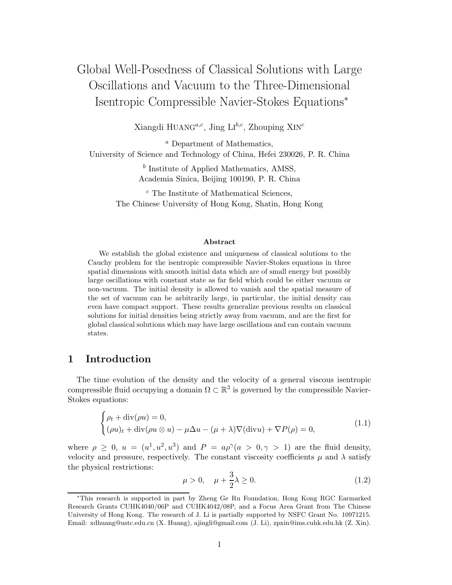# Global Well-Posedness of Classical Solutions with Large Oscillations and Vacuum to the Three-Dimensional Isentropic Compressible Navier-Stokes Equations<sup>∗</sup>

Xiangdi HUANG<sup>a,c</sup>, Jing LI<sup>b,c</sup>, Zhouping XIN<sup>c</sup>

<sup>a</sup> Department of Mathematics, University of Science and Technology of China, Hefei 230026, P. R. China

> $<sup>b</sup>$  Institute of Applied Mathematics, AMSS,</sup> Academia Sinica, Beijing 100190, P. R. China

<sup>c</sup> The Institute of Mathematical Sciences, The Chinese University of Hong Kong, Shatin, Hong Kong

#### **Abstract**

We establish the global existence and uniqueness of classical solutions to the Cauchy problem for the isentropic compressible Navier-Stokes equations in three spatial dimensions with smooth initial data which are of small energy but possibly large oscillations with constant state as far field which could be either vacuum or non-vacuum. The initial density is allowed to vanish and the spatial measure of the set of vacuum can be arbitrarily large, in particular, the initial density can even have compact support. These results generalize previous results on classical solutions for initial densities being strictly away from vacuum, and are the first for global classical solutions which may have large oscillations and can contain vacuum states.

#### **1 Introduction**

The time evolution of the density and the velocity of a general viscous isentropic compressible fluid occupying a domain  $\Omega \subset \mathbb{R}^3$  is governed by the compressible Navier-Stokes equations:

$$
\begin{cases}\n\rho_t + \operatorname{div}(\rho u) = 0, \\
(\rho u)_t + \operatorname{div}(\rho u \otimes u) - \mu \Delta u - (\mu + \lambda) \nabla(\operatorname{div} u) + \nabla P(\rho) = 0,\n\end{cases}
$$
\n(1.1)

where  $\rho \geq 0$ ,  $u = (u^1, u^2, u^3)$  and  $P = a\rho^{\gamma}(a > 0, \gamma > 1)$  are the fluid density, velocity and pressure, respectively. The constant viscosity coefficients  $\mu$  and  $\lambda$  satisfy the physical restrictions:

$$
\mu > 0, \quad \mu + \frac{3}{2}\lambda \ge 0. \tag{1.2}
$$

<sup>∗</sup>This research is supported in part by Zheng Ge Ru Foundation, Hong Kong RGC Earmarked Research Grants CUHK4040/06P and CUHK4042/08P, and a Focus Area Grant from The Chinese University of Hong Kong. The research of J. Li is partially supported by NSFC Grant No. 10971215. Email: xdhuang@ustc.edu.cn (X. Huang), ajingli@gmail.com (J. Li), zpxin@ims.cuhk.edu.hk (Z. Xin).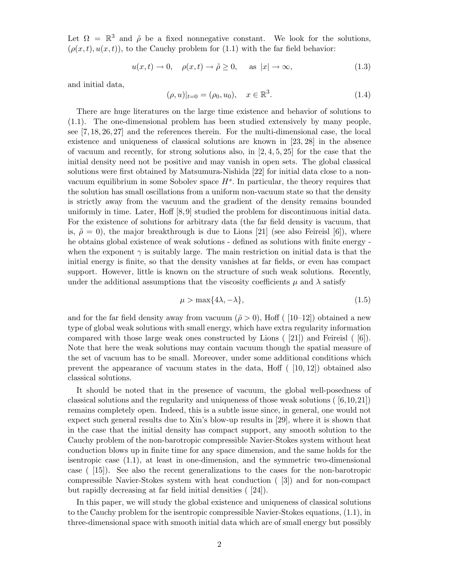Let  $\Omega = \mathbb{R}^3$  and  $\tilde{\rho}$  be a fixed nonnegative constant. We look for the solutions,  $(\rho(x, t), u(x, t))$ , to the Cauchy problem for (1.1) with the far field behavior:

$$
u(x,t) \to 0, \quad \rho(x,t) \to \tilde{\rho} \ge 0, \quad \text{as } |x| \to \infty,
$$
\n(1.3)

and initial data,

$$
(\rho, u)|_{t=0} = (\rho_0, u_0), \quad x \in \mathbb{R}^3.
$$
 (1.4)

There are huge literatures on the large time existence and behavior of solutions to (1.1). The one-dimensional problem has been studied extensively by many people, see [7, 18, 26, 27] and the references therein. For the multi-dimensional case, the local existence and uniqueness of classical solutions are known in [23, 28] in the absence of vacuum and recently, for strong solutions also, in  $[2, 4, 5, 25]$  for the case that the initial density need not be positive and may vanish in open sets. The global classical solutions were first obtained by Matsumura-Nishida [22] for initial data close to a nonvacuum equilibrium in some Sobolev space  $H<sup>s</sup>$ . In particular, the theory requires that the solution has small oscillations from a uniform non-vacuum state so that the density is strictly away from the vacuum and the gradient of the density remains bounded uniformly in time. Later, Hoff [8, 9] studied the problem for discontinuous initial data. For the existence of solutions for arbitrary data (the far field density is vacuum, that is,  $\tilde{\rho} = 0$ , the major breakthrough is due to Lions [21] (see also Feireisl [6]), where he obtains global existence of weak solutions - defined as solutions with finite energy when the exponent  $\gamma$  is suitably large. The main restriction on initial data is that the initial energy is finite, so that the density vanishes at far fields, or even has compact support. However, little is known on the structure of such weak solutions. Recently, under the additional assumptions that the viscosity coefficients  $\mu$  and  $\lambda$  satisfy

$$
\mu > \max\{4\lambda, -\lambda\},\tag{1.5}
$$

and for the far field density away from vacuum ( $\tilde{\rho} > 0$ ), Hoff ( [10–12]) obtained a new type of global weak solutions with small energy, which have extra regularity information compared with those large weak ones constructed by Lions ( [21]) and Feireisl ( [6]). Note that here the weak solutions may contain vacuum though the spatial measure of the set of vacuum has to be small. Moreover, under some additional conditions which prevent the appearance of vacuum states in the data, Hoff  $(10, 12)$  obtained also classical solutions.

It should be noted that in the presence of vacuum, the global well-posedness of classical solutions and the regularity and uniqueness of those weak solutions ( $[6,10,21]$ ) remains completely open. Indeed, this is a subtle issue since, in general, one would not expect such general results due to Xin's blow-up results in [29], where it is shown that in the case that the initial density has compact support, any smooth solution to the Cauchy problem of the non-barotropic compressible Navier-Stokes system without heat conduction blows up in finite time for any space dimension, and the same holds for the isentropic case (1.1), at least in one-dimension, and the symmetric two-dimensional case ( [15]). See also the recent generalizations to the cases for the non-barotropic compressible Navier-Stokes system with heat conduction ( [3]) and for non-compact but rapidly decreasing at far field initial densities ( [24]).

In this paper, we will study the global existence and uniqueness of classical solutions to the Cauchy problem for the isentropic compressible Navier-Stokes equations, (1.1), in three-dimensional space with smooth initial data which are of small energy but possibly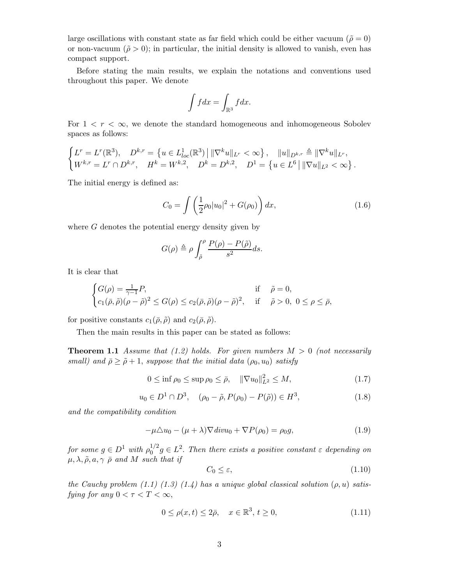large oscillations with constant state as far field which could be either vacuum ( $\tilde{\rho} = 0$ ) or non-vacuum ( $\tilde{\rho} > 0$ ); in particular, the initial density is allowed to vanish, even has compact support.

Before stating the main results, we explain the notations and conventions used throughout this paper. We denote

$$
\int f dx = \int_{\mathbb{R}^3} f dx.
$$

For  $1 < r < \infty$ , we denote the standard homogeneous and inhomogeneous Sobolev spaces as follows:

$$
\begin{cases}\nL^r = L^r(\mathbb{R}^3), & D^{k,r} = \{u \in L^1_{loc}(\mathbb{R}^3) \mid \|\nabla^k u\|_{L^r} < \infty\}, \quad \|u\|_{D^{k,r}} \triangleq \|\nabla^k u\|_{L^r}, \\
W^{k,r} = L^r \cap D^{k,r}, & H^k = W^{k,2}, \quad D^k = D^{k,2}, \quad D^1 = \{u \in L^6 \mid \|\nabla u\|_{L^2} < \infty\}.\n\end{cases}
$$

The initial energy is defined as:

$$
C_0 = \int \left(\frac{1}{2}\rho_0 |u_0|^2 + G(\rho_0)\right) dx,\tag{1.6}
$$

where  $G$  denotes the potential energy density given by

$$
G(\rho) \triangleq \rho \int_{\tilde{\rho}}^{\rho} \frac{P(\rho) - P(\tilde{\rho})}{s^2} ds.
$$

It is clear that

$$
\begin{cases}\nG(\rho) = \frac{1}{\gamma - 1} P, & \text{if } \tilde{\rho} = 0, \\
c_1(\bar{\rho}, \tilde{\rho})(\rho - \tilde{\rho})^2 \le G(\rho) \le c_2(\bar{\rho}, \tilde{\rho})(\rho - \tilde{\rho})^2, & \text{if } \tilde{\rho} > 0, \ 0 \le \rho \le \bar{\rho},\n\end{cases}
$$

for positive constants  $c_1(\bar{\rho}, \tilde{\rho})$  and  $c_2(\bar{\rho}, \tilde{\rho})$ .

Then the main results in this paper can be stated as follows:

**Theorem 1.1** *Assume that*  $(1.2)$  *holds. For given numbers*  $M > 0$  *(not necessarily small)* and  $\bar{\rho} \geq \tilde{\rho} + 1$ , *suppose that the initial data*  $(\rho_0, u_0)$  *satisfy* 

$$
0 \le \inf \rho_0 \le \sup \rho_0 \le \bar{\rho}, \quad \|\nabla u_0\|_{L^2}^2 \le M,\tag{1.7}
$$

$$
u_0 \in D^1 \cap D^3
$$
,  $(\rho_0 - \tilde{\rho}, P(\rho_0) - P(\tilde{\rho})) \in H^3$ , (1.8)

*and the compatibility condition*

$$
-\mu \Delta u_0 - (\mu + \lambda) \nabla \operatorname{div} u_0 + \nabla P(\rho_0) = \rho_0 g,\tag{1.9}
$$

*for some*  $g \in D^1$  *with*  $\rho_0^{1/2} g \in L^2$ . *Then there exists a positive constant*  $\varepsilon$  *depending on*  $\mu, \lambda, \tilde{\rho}, a, \gamma \bar{\rho}$  and M such that if

$$
C_0 \le \varepsilon,\tag{1.10}
$$

*the Cauchy problem (1.1) (1.3) (1.4) has a unique global classical solution*  $(\rho, u)$  *satisfying for any*  $0 < \tau < T < \infty$ ,

$$
0 \le \rho(x, t) \le 2\bar{\rho}, \quad x \in \mathbb{R}^3, t \ge 0,
$$
\n
$$
(1.11)
$$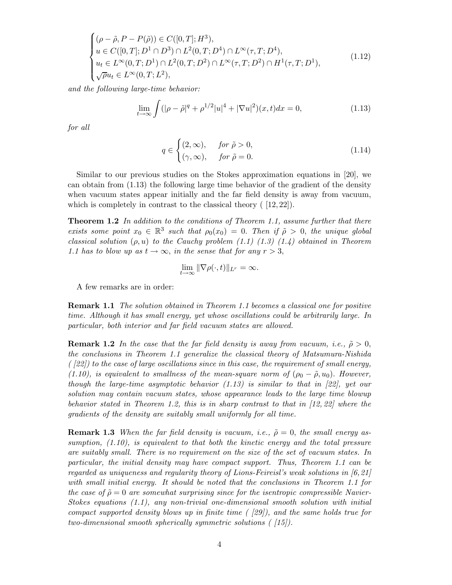$$
\begin{cases}\n(\rho - \tilde{\rho}, P - P(\tilde{\rho})) \in C([0, T]; H^3), \\
u \in C([0, T]; D^1 \cap D^3) \cap L^2(0, T; D^4) \cap L^{\infty}(\tau, T; D^4), \\
u_t \in L^{\infty}(0, T; D^1) \cap L^2(0, T; D^2) \cap L^{\infty}(\tau, T; D^2) \cap H^1(\tau, T; D^1), \\
\sqrt{\rho}u_t \in L^{\infty}(0, T; L^2),\n\end{cases} (1.12)
$$

*and the following large-time behavior:*

$$
\lim_{t \to \infty} \int (|\rho - \tilde{\rho}|^q + \rho^{1/2} |u|^4 + |\nabla u|^2)(x, t) dx = 0,
$$
\n(1.13)

*for all*

$$
q \in \begin{cases} (2,\infty), & \text{for } \tilde{\rho} > 0, \\ (\gamma,\infty), & \text{for } \tilde{\rho} = 0. \end{cases}
$$
 (1.14)

Similar to our previous studies on the Stokes approximation equations in [20], we can obtain from (1.13) the following large time behavior of the gradient of the density when vacuum states appear initially and the far field density is away from vacuum, which is completely in contrast to the classical theory  $(12, 22)$ .

**Theorem 1.2** *In addition to the conditions of Theorem 1.1, assume further that there exists some point*  $x_0 \in \mathbb{R}^3$  *such that*  $\rho_0(x_0) = 0$ . *Then if*  $\tilde{\rho} > 0$ , *the unique global classical solution* (ρ, u) *to the Cauchy problem (1.1) (1.3) (1.4) obtained in Theorem 1.1 has to blow up as*  $t \to \infty$ , *in the sense that for any*  $r > 3$ ,

$$
\lim_{t \to \infty} \|\nabla \rho(\cdot, t)\|_{L^r} = \infty.
$$

A few remarks are in order:

**Remark 1.1** *The solution obtained in Theorem 1.1 becomes a classical one for positive time. Although it has small energy, yet whose oscillations could be arbitrarily large. In particular, both interior and far field vacuum states are allowed.*

**Remark 1.2** *In the case that the far field density is away from vacuum, i.e.,*  $\tilde{\rho} > 0$ , *the conclusions in Theorem 1.1 generalize the classical theory of Matsumura-Nishida ( [22]) to the case of large oscillations since in this case, the requirement of small energy, (1.10), is equivalent to smallness of the mean-square norm of*  $(\rho_0 - \tilde{\rho}, u_0)$ . *However, though the large-time asymptotic behavior (1.13) is similar to that in [22], yet our solution may contain vacuum states, whose appearance leads to the large time blowup behavior stated in Theorem 1.2, this is in sharp contrast to that in [12, 22] where the gradients of the density are suitably small uniformly for all time.*

**Remark 1.3** *When the far field density is vacuum, i.e.,*  $\tilde{\rho} = 0$ *, the small energy assumption, (1.10), is equivalent to that both the kinetic energy and the total pressure are suitably small. There is no requirement on the size of the set of vacuum states. In particular, the initial density may have compact support. Thus, Theorem 1.1 can be regarded as uniqueness and regularity theory of Lions-Feireisl's weak solutions in [6,21] with small initial energy. It should be noted that the conclusions in Theorem 1.1 for the case of*  $\tilde{\rho} = 0$  *are somewhat surprising since for the isentropic compressible Navier-Stokes equations (1.1), any non-trivial one-dimensional smooth solution with initial compact supported density blows up in finite time ( [29]), and the same holds true for two-dimensional smooth spherically symmetric solutions ( [15]).*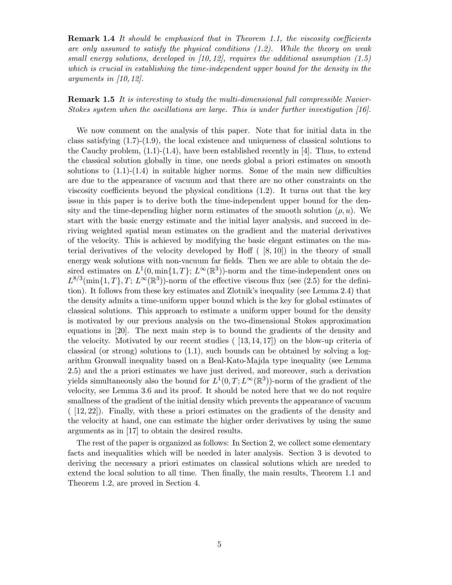**Remark 1.4** *It should be emphasized that in Theorem 1.1, the viscosity coefficients are only assumed to satisfy the physical conditions (1.2). While the theory on weak small energy solutions, developed in [10, 12], requires the additional assumption (1.5) which is crucial in establishing the time-independent upper bound for the density in the arguments in [10, 12].*

**Remark 1.5** *It is interesting to study the multi-dimensional full compressible Navier-Stokes system when the oscillations are large. This is under further investigation [16].*

We now comment on the analysis of this paper. Note that for initial data in the class satisfying (1.7)-(1.9), the local existence and uniqueness of classical solutions to the Cauchy problem,  $(1.1)-(1.4)$ , have been established recently in [4]. Thus, to extend the classical solution globally in time, one needs global a priori estimates on smooth solutions to  $(1.1)-(1.4)$  in suitable higher norms. Some of the main new difficulties are due to the appearance of vacuum and that there are no other constraints on the viscosity coefficients beyond the physical conditions (1.2). It turns out that the key issue in this paper is to derive both the time-independent upper bound for the density and the time-depending higher norm estimates of the smooth solution  $(\rho, u)$ . We start with the basic energy estimate and the initial layer analysis, and succeed in deriving weighted spatial mean estimates on the gradient and the material derivatives of the velocity. This is achieved by modifying the basic elegant estimates on the material derivatives of the velocity developed by Hoff  $(8, 10)$  in the theory of small energy weak solutions with non-vacuum far fields. Then we are able to obtain the desired estimates on  $L^1(0, \min\{1, T\}; L^\infty(\mathbb{R}^3))$ -norm and the time-independent ones on  $L^{8/3}(\min\{1,T\},T; L^{\infty}(\mathbb{R}^3))$ -norm of the effective viscous flux (see (2.5) for the definition). It follows from these key estimates and Zlotnik's inequality (see Lemma 2.4) that the density admits a time-uniform upper bound which is the key for global estimates of classical solutions. This approach to estimate a uniform upper bound for the density is motivated by our previous analysis on the two-dimensional Stokes approximation equations in [20]. The next main step is to bound the gradients of the density and the velocity. Motivated by our recent studies  $(13, 14, 17)$  on the blow-up criteria of classical (or strong) solutions to  $(1.1)$ , such bounds can be obtained by solving a logarithm Gronwall inequality based on a Beal-Kato-Majda type inequality (see Lemma 2.5) and the a priori estimates we have just derived, and moreover, such a derivation yields simultaneously also the bound for  $L^1(0,T;L^{\infty}(\mathbb{R}^3))$ -norm of the gradient of the velocity, see Lemma 3.6 and its proof. It should be noted here that we do not require smallness of the gradient of the initial density which prevents the appearance of vacuum ( [12, 22]). Finally, with these a priori estimates on the gradients of the density and the velocity at hand, one can estimate the higher order derivatives by using the same arguments as in [17] to obtain the desired results.

The rest of the paper is organized as follows: In Section 2, we collect some elementary facts and inequalities which will be needed in later analysis. Section 3 is devoted to deriving the necessary a priori estimates on classical solutions which are needed to extend the local solution to all time. Then finally, the main results, Theorem 1.1 and Theorem 1.2, are proved in Section 4.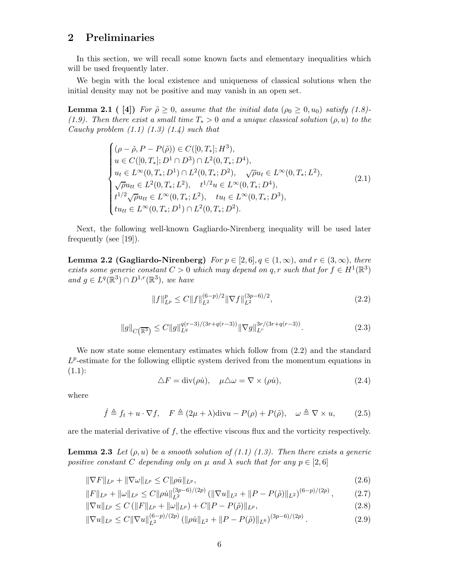#### **2 Preliminaries**

In this section, we will recall some known facts and elementary inequalities which will be used frequently later.

We begin with the local existence and uniqueness of classical solutions when the initial density may not be positive and may vanish in an open set.

**Lemma 2.1** ( [4]) *For*  $\tilde{\rho} \geq 0$ , *assume that the initial data* ( $\rho_0 \geq 0, u_0$ ) *satisfy* (1.8)-*(1.9). Then there exist a small time*  $T_* > 0$  *and a unique classical solution*  $(\rho, u)$  *to the Cauchy problem (1.1) (1.3) (1.4) such that*

$$
\begin{cases}\n(\rho - \tilde{\rho}, P - P(\tilde{\rho})) \in C([0, T_*]; H^3), \\
u \in C([0, T_*]; D^1 \cap D^3) \cap L^2(0, T_*; D^4), \\
u_t \in L^{\infty}(0, T_*; D^1) \cap L^2(0, T_*; D^2), \quad \sqrt{\rho}u_t \in L^{\infty}(0, T_*; L^2), \\
\sqrt{\rho}u_{tt} \in L^2(0, T_*; L^2), \quad t^{1/2}u \in L^{\infty}(0, T_*; D^4), \\
t^{1/2}\sqrt{\rho}u_{tt} \in L^{\infty}(0, T_*; L^2), \quad tu_t \in L^{\infty}(0, T_*; D^3), \\
tu_{tt} \in L^{\infty}(0, T_*; D^1) \cap L^2(0, T_*; D^2).\n\end{cases} (2.1)
$$

Next, the following well-known Gagliardo-Nirenberg inequality will be used later frequently (see [19]).

**Lemma 2.2 (Gagliardo-Nirenberg)**  $For p \in [2, 6], q \in (1, \infty), and r \in (3, \infty), there$ *exists some generic constant*  $C > 0$  *which may depend on* q, r *such that for*  $f \in H^1(\mathbb{R}^3)$ *and*  $g \in L^q(\mathbb{R}^3) \cap D^{1,r}(\mathbb{R}^3)$ *, we have* 

$$
||f||_{L^{p}}^{p} \le C||f||_{L^{2}}^{(6-p)/2} ||\nabla f||_{L^{2}}^{(3p-6)/2},
$$
\n(2.2)

$$
||g||_{C(\overline{\mathbb{R}^3})} \leq C||g||_{L^q}^{q(r-3)/(3r+q(r-3))} ||\nabla g||_{L^r}^{3r/(3r+q(r-3))}.
$$
\n(2.3)

We now state some elementary estimates which follow from (2.2) and the standard  $L^p$ -estimate for the following elliptic system derived from the momentum equations in  $(1.1):$ 

$$
\Delta F = \text{div}(\rho \dot{u}), \quad \mu \Delta \omega = \nabla \times (\rho \dot{u}), \tag{2.4}
$$

where

 $\dot{f} \triangleq f_t + u \cdot \nabla f$ ,  $F \triangleq (2\mu + \lambda) \text{div}u - P(\rho) + P(\tilde{\rho})$ ,  $\omega \triangleq \nabla \times u$ , (2.5)

are the material derivative of  $f$ , the effective viscous flux and the vorticity respectively.

**Lemma 2.3** Let  $(\rho, u)$  be a smooth solution of  $(1.1)$   $(1.3)$ . Then there exists a generic *positive constant* C *depending only on*  $\mu$  *and*  $\lambda$  *such that for any*  $p \in [2, 6]$ 

$$
\|\nabla F\|_{L^p} + \|\nabla \omega\|_{L^p} \le C \|\rho \dot{u}\|_{L^p},\tag{2.6}
$$

$$
||F||_{L^p} + ||\omega||_{L^p} \le C||\rho \dot{u}||_{L^2}^{(3p-6)/(2p)} \left( ||\nabla u||_{L^2} + ||P - P(\tilde{\rho})||_{L^2} \right)^{(6-p)/(2p)},\tag{2.7}
$$

$$
\|\nabla u\|_{L^p} \le C \left( \|F\|_{L^p} + \|\omega\|_{L^p} \right) + C \|P - P(\tilde{\rho})\|_{L^p},\tag{2.8}
$$

$$
\|\nabla u\|_{L^p} \le C \|\nabla u\|_{L^2}^{(6-p)/(2p)} \left( \|\rho \dot{u}\|_{L^2} + \|P - P(\tilde{\rho})\|_{L^6} \right)^{(3p-6)/(2p)}.
$$
\n(2.9)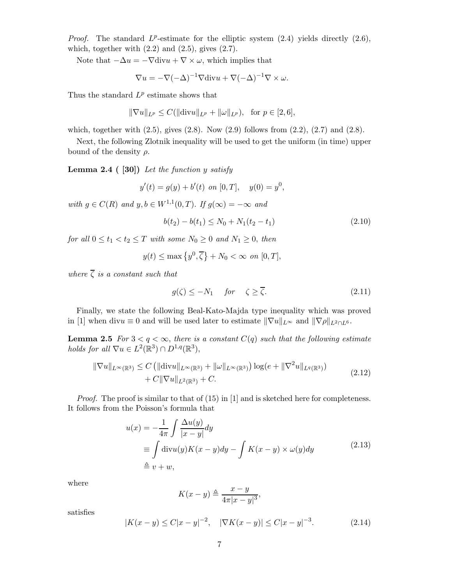*Proof.* The standard  $L^p$ -estimate for the elliptic system  $(2.4)$  yields directly  $(2.6)$ , which, together with  $(2.2)$  and  $(2.5)$ , gives  $(2.7)$ .

Note that  $-\Delta u = -\nabla \text{div}u + \nabla \times \omega$ , which implies that

$$
\nabla u = -\nabla(-\Delta)^{-1}\nabla \text{div}u + \nabla(-\Delta)^{-1}\nabla \times \omega.
$$

Thus the standard  $L^p$  estimate shows that

$$
\|\nabla u\|_{L^p} \le C(\|\text{div} u\|_{L^p} + \|\omega\|_{L^p}), \text{ for } p \in [2, 6],
$$

which, together with  $(2.5)$ , gives  $(2.8)$ . Now  $(2.9)$  follows from  $(2.2)$ ,  $(2.7)$  and  $(2.8)$ .

Next, the following Zlotnik inequality will be used to get the uniform (in time) upper bound of the density  $\rho$ .

**Lemma 2.4 ( [30])** *Let the function* y *satisfy*

$$
y'(t) = g(y) + b'(t)
$$
 on [0, T],  $y(0) = y^0$ ,

*with*  $g \in C(R)$  *and*  $y, b \in W^{1,1}(0,T)$ . *If*  $g(\infty) = -\infty$  *and* 

$$
b(t_2) - b(t_1) \le N_0 + N_1(t_2 - t_1)
$$
\n(2.10)

*for all*  $0 \le t_1 < t_2 \le T$  *with some*  $N_0 \ge 0$  *and*  $N_1 \ge 0$ *, then* 

$$
y(t) \le \max\left\{y^0, \overline{\zeta}\right\} + N_0 < \infty \text{ on } [0, T],
$$

*where*  $\overline{\zeta}$  *is a constant such that* 

$$
g(\zeta) \le -N_1 \quad \text{for} \quad \zeta \ge \overline{\zeta}.\tag{2.11}
$$

Finally, we state the following Beal-Kato-Majda type inequality which was proved in [1] when div $u \equiv 0$  and will be used later to estimate  $\|\nabla u\|_{L^{\infty}}$  and  $\|\nabla \rho\|_{L^2 \cap L^6}$ .

**Lemma 2.5** *For*  $3 < q < \infty$ , *there is a constant*  $C(q)$  *such that the following estimate holds for all*  $\nabla u \in L^2(\mathbb{R}^3) \cap D^{1,q}(\mathbb{R}^3)$ ,

$$
\|\nabla u\|_{L^{\infty}(\mathbb{R}^3)} \leq C \left( \|\text{div} u\|_{L^{\infty}(\mathbb{R}^3)} + \|\omega\|_{L^{\infty}(\mathbb{R}^3)} \right) \log(e + \|\nabla^2 u\|_{L^q(\mathbb{R}^3)}) + C\|\nabla u\|_{L^2(\mathbb{R}^3)} + C.
$$
\n(2.12)

*Proof.* The proof is similar to that of (15) in [1] and is sketched here for completeness. It follows from the Poisson's formula that

$$
u(x) = -\frac{1}{4\pi} \int \frac{\Delta u(y)}{|x - y|} dy
$$
  
\n
$$
\equiv \int \text{div}u(y)K(x - y)dy - \int K(x - y) \times \omega(y)dy
$$
\n
$$
\stackrel{\triangle}{=} v + w,
$$
\n(2.13)

where

$$
K(x - y) \triangleq \frac{x - y}{4\pi |x - y|^3},
$$

satisfies

$$
|K(x - y) \le C|x - y|^{-2}, \quad |\nabla K(x - y)| \le C|x - y|^{-3}.
$$
 (2.14)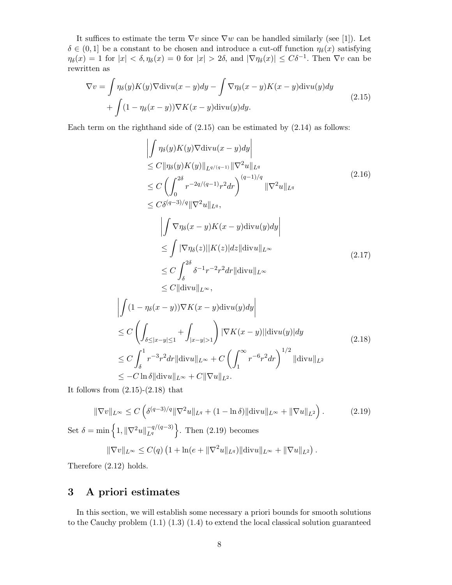It suffices to estimate the term  $\nabla v$  since  $\nabla w$  can be handled similarly (see [1]). Let  $\delta \in (0,1]$  be a constant to be chosen and introduce a cut-off function  $\eta_{\delta}(x)$  satisfying  $\eta_{\delta}(x) = 1$  for  $|x| < \delta, \eta_{\delta}(x) = 0$  for  $|x| > 2\delta$ , and  $|\nabla \eta_{\delta}(x)| \leq C\delta^{-1}$ . Then  $\nabla v$  can be rewritten as

$$
\nabla v = \int \eta_{\delta}(y) K(y) \nabla \text{div} u(x - y) dy - \int \nabla \eta_{\delta}(x - y) K(x - y) \text{div} u(y) dy
$$
  
+ 
$$
\int (1 - \eta_{\delta}(x - y)) \nabla K(x - y) \text{div} u(y) dy.
$$
 (2.15)

Each term on the righthand side of  $(2.15)$  can be estimated by  $(2.14)$  as follows:

$$
\left| \int \eta_{\delta}(y)K(y)\nabla \text{div} u(x-y)dy \right|
$$
\n
$$
\leq C \|\eta_{\delta}(y)K(y)\|_{L^{q/(q-1)}} \|\nabla^{2} u\|_{L^{q}}
$$
\n
$$
\leq C \left( \int_{0}^{2\delta} r^{-2q/(q-1)} r^{2} dr \right)^{(q-1)/q} \|\nabla^{2} u\|_{L^{q}}
$$
\n
$$
\leq C \delta^{(q-3)/q} \|\nabla^{2} u\|_{L^{q}},
$$
\n
$$
\left| \int \nabla \eta_{\delta}(x-y)K(x-y) \text{div} u(y)dy \right|
$$
\n
$$
\leq \int |\nabla \eta_{\delta}(z)| |K(z)| dz \|\text{div} u\|_{L^{\infty}}
$$
\n
$$
\leq C \int_{\delta}^{2\delta} \delta^{-1} r^{-2} r^{2} dr \|\text{div} u\|_{L^{\infty}}
$$
\n
$$
\leq C \|\text{div} u\|_{L^{\infty}},
$$
\n
$$
\left| \int (1 - \eta_{\delta}(x-y)) \nabla K(x-y) \text{div} u(y)dy \right|
$$
\n
$$
\leq C \left( \int_{\delta \leq |x-y| \leq 1} + \int_{|x-y| > 1} \right) |\nabla K(x-y)| |\text{div} u(y)| dy
$$
\n
$$
\leq C \int_{\delta}^{1} r^{-3} r^{2} dr \|\text{div} u\|_{L^{\infty}} + C \left( \int_{1}^{\infty} r^{-6} r^{2} dr \right)^{1/2} \|\text{div} u\|_{L^{2}}
$$
\n
$$
\leq - C \ln \delta \| \text{div} u\|_{L^{\infty}} + C \|\nabla u\|_{L^{2}}.
$$
\n(2.18)

It follows from  $(2.15)-(2.18)$  that

$$
\|\nabla v\|_{L^{\infty}} \le C\left(\delta^{(q-3)/q} \|\nabla^2 u\|_{L^q} + (1 - \ln \delta) \|\text{div} u\|_{L^{\infty}} + \|\nabla u\|_{L^2}\right). \tag{2.19}
$$
  
Set  $\delta = \min\left\{1, \|\nabla^2 u\|_{L^q}^{-q/(q-3)}\right\}$ . Then (2.19) becomes

$$
\|\nabla v\|_{L^{\infty}} \leq C(q) \left(1 + \ln(e + \|\nabla^2 u\|_{L^q})\|\text{div} u\|_{L^{\infty}} + \|\nabla u\|_{L^2}\right).
$$

Therefore (2.12) holds.

#### **3 A priori estimates**

In this section, we will establish some necessary a priori bounds for smooth solutions to the Cauchy problem  $(1.1)$   $(1.3)$   $(1.4)$  to extend the local classical solution guaranteed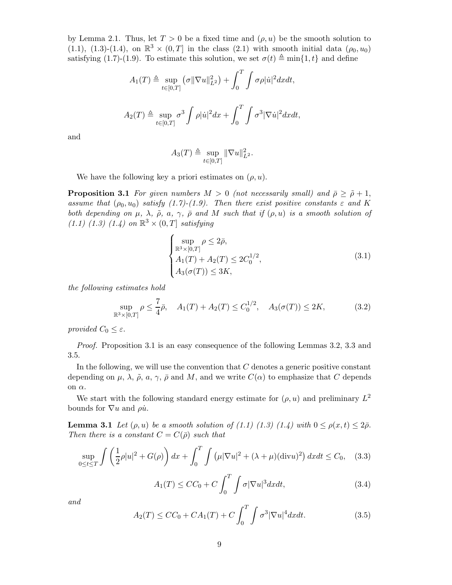by Lemma 2.1. Thus, let  $T > 0$  be a fixed time and  $(\rho, u)$  be the smooth solution to (1.1), (1.3)-(1.4), on  $\mathbb{R}^3 \times (0,T]$  in the class (2.1) with smooth initial data  $(\rho_0, u_0)$ satisfying (1.7)-(1.9). To estimate this solution, we set  $\sigma(t) \triangleq \min\{1, t\}$  and define

$$
A_1(T) \triangleq \sup_{t \in [0,T]} (\sigma ||\nabla u||_{L^2}^2) + \int_0^T \int \sigma \rho |u|^2 dxdt,
$$
  

$$
A_2(T) \triangleq \sup_{t \in [0,T]} \sigma^3 \int \rho |u|^2 dx + \int_0^T \int \sigma^3 |\nabla \dot{u}|^2 dxdt,
$$

and

$$
A_3(T) \triangleq \sup_{t \in [0,T]} \|\nabla u\|_{L^2}^2.
$$

We have the following key a priori estimates on  $(\rho, u)$ .

**Proposition 3.1** *For given numbers*  $M > 0$  *(not necessarily small) and*  $\bar{\rho} \geq \tilde{\rho} + 1$ , *assume that*  $(\rho_0, u_0)$  *satisfy*  $(1.7)$ - $(1.9)$ . Then there exist positive constants  $\varepsilon$  and K *both depending on*  $\mu$ *,*  $\lambda$ *,*  $\tilde{\rho}$ *, a<sub>1</sub>*  $\gamma$ *,*  $\bar{\rho}$  *and* M *such that if*  $(\rho, u)$  *is a smooth solution of (1.1) (1.3) (1.4) on*  $\mathbb{R}^3 \times (0,T]$  *satisfying* 

$$
\begin{cases}\n\sup_{\mathbb{R}^3 \times [0,T]} \rho \le 2\bar{\rho}, \nA_1(T) + A_2(T) \le 2C_0^{1/2}, \nA_3(\sigma(T)) \le 3K,\n\end{cases}
$$
\n(3.1)

*the following estimates hold*

$$
\sup_{\mathbb{R}^3 \times [0,T]} \rho \le \frac{7}{4}\bar{\rho}, \quad A_1(T) + A_2(T) \le C_0^{1/2}, \quad A_3(\sigma(T)) \le 2K,\tag{3.2}
$$

*provided*  $C_0 \leq \varepsilon$ .

*Proof.* Proposition 3.1 is an easy consequence of the following Lemmas 3.2, 3.3 and 3.5.

In the following, we will use the convention that  $C$  denotes a generic positive constant depending on  $\mu$ ,  $\lambda$ ,  $\tilde{\rho}$ ,  $a$ ,  $\gamma$ ,  $\bar{\rho}$  and  $M$ , and we write  $C(\alpha)$  to emphasize that C depends on  $\alpha$ .

We start with the following standard energy estimate for  $(\rho, u)$  and preliminary  $L^2$ bounds for  $\nabla u$  and  $\rho \dot{u}$ .

**Lemma 3.1** *Let*  $(\rho, u)$  *be a smooth solution of (1.1) (1.3) (1.4) with*  $0 \le \rho(x, t) \le 2\bar{\rho}$ . *Then there is a constant*  $C = C(\bar{\rho})$  *such that* 

$$
\sup_{0 \le t \le T} \int \left(\frac{1}{2}\rho |u|^2 + G(\rho)\right) dx + \int_0^T \int \left(\mu |\nabla u|^2 + (\lambda + \mu)(\text{div}u)^2\right) dx dt \le C_0, \quad (3.3)
$$

$$
A_1(T) \le CC_0 + C \int_0^T \int \sigma |\nabla u|^3 dxdt, \qquad (3.4)
$$

*and*

$$
A_2(T) \le CC_0 + CA_1(T) + C \int_0^T \int \sigma^3 |\nabla u|^4 dx dt.
$$
 (3.5)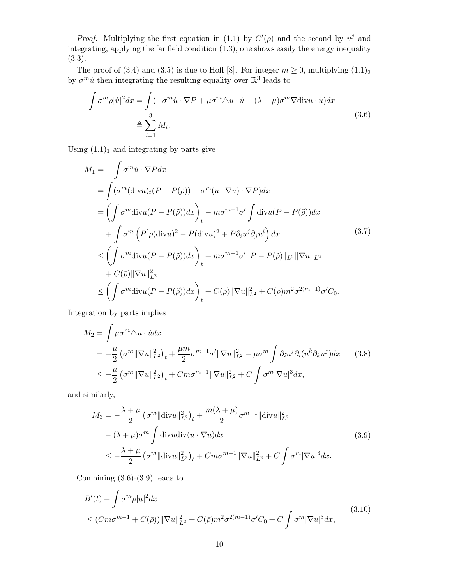*Proof.* Multiplying the first equation in (1.1) by  $G'(\rho)$  and the second by  $u^j$  and integrating, applying the far field condition (1.3), one shows easily the energy inequality (3.3).

The proof of (3.4) and (3.5) is due to Hoff [8]. For integer  $m \geq 0$ , multiplying  $(1.1)<sub>2</sub>$ by  $\sigma^m \hat{u}$  then integrating the resulting equality over  $\mathbb{R}^3$  leads to

$$
\int \sigma^m \rho |\dot{u}|^2 dx = \int (-\sigma^m \dot{u} \cdot \nabla P + \mu \sigma^m \Delta u \cdot \dot{u} + (\lambda + \mu) \sigma^m \nabla \text{div} u \cdot \dot{u}) dx
$$
  
\n
$$
\triangleq \sum_{i=1}^3 M_i.
$$
\n(3.6)

Using  $(1.1)<sub>1</sub>$  and integrating by parts give

$$
M_{1} = -\int \sigma^{m} \dot{u} \cdot \nabla P dx
$$
  
\n
$$
= \int (\sigma^{m} (\text{div} u)_{t} (P - P(\tilde{\rho})) - \sigma^{m} (u \cdot \nabla u) \cdot \nabla P) dx
$$
  
\n
$$
= \left( \int \sigma^{m} \text{div} u (P - P(\tilde{\rho})) dx \right)_{t} - m \sigma^{m-1} \sigma' \int \text{div} u (P - P(\tilde{\rho})) dx
$$
  
\n
$$
+ \int \sigma^{m} \left( P' \rho (\text{div} u)^{2} - P (\text{div} u)^{2} + P \partial_{i} u^{j} \partial_{j} u^{i} \right) dx
$$
  
\n
$$
\leq \left( \int \sigma^{m} \text{div} u (P - P(\tilde{\rho})) dx \right)_{t} + m \sigma^{m-1} \sigma' \| P - P(\tilde{\rho}) \|_{L^{2}} \| \nabla u \|_{L^{2}}
$$
  
\n
$$
+ C(\bar{\rho}) \| \nabla u \|_{L^{2}}^{2}
$$
  
\n
$$
\leq \left( \int \sigma^{m} \text{div} u (P - P(\tilde{\rho})) dx \right)_{t} + C(\bar{\rho}) \| \nabla u \|_{L^{2}}^{2} + C(\bar{\rho}) m^{2} \sigma^{2(m-1)} \sigma' C_{0}.
$$
  
\n(3.7)

Integration by parts implies

$$
M_2 = \int \mu \sigma^m \Delta u \cdot \dot{u} dx
$$
  
=  $-\frac{\mu}{2} \left( \sigma^m \|\nabla u\|_{L^2}^2 \right)_t + \frac{\mu m}{2} \sigma^{m-1} \sigma' \|\nabla u\|_{L^2}^2 - \mu \sigma^m \int \partial_i u^j \partial_i (u^k \partial_k u^j) dx$  (3.8)  
 $\leq -\frac{\mu}{2} \left( \sigma^m \|\nabla u\|_{L^2}^2 \right)_t + Cm \sigma^{m-1} \|\nabla u\|_{L^2}^2 + C \int \sigma^m |\nabla u|^3 dx,$ 

and similarly,

$$
M_3 = -\frac{\lambda + \mu}{2} \left( \sigma^m \|\text{div} u\|_{L^2}^2 \right)_t + \frac{m(\lambda + \mu)}{2} \sigma^{m-1} \|\text{div} u\|_{L^2}^2
$$
  
 
$$
- (\lambda + \mu) \sigma^m \int \text{div} u \text{div}(u \cdot \nabla u) dx \qquad (3.9)
$$
  
 
$$
\leq -\frac{\lambda + \mu}{2} \left( \sigma^m \|\text{div} u\|_{L^2}^2 \right)_t + Cm \sigma^{m-1} \|\nabla u\|_{L^2}^2 + C \int \sigma^m |\nabla u|^3 dx.
$$

Combining  $(3.6)-(3.9)$  leads to

$$
B'(t) + \int \sigma^m \rho |\dot{u}|^2 dx
$$
  
\n
$$
\leq (Cm\sigma^{m-1} + C(\bar{\rho})) \|\nabla u\|_{L^2}^2 + C(\bar{\rho})m^2 \sigma^{2(m-1)} \sigma' C_0 + C \int \sigma^m |\nabla u|^3 dx,
$$
\n(3.10)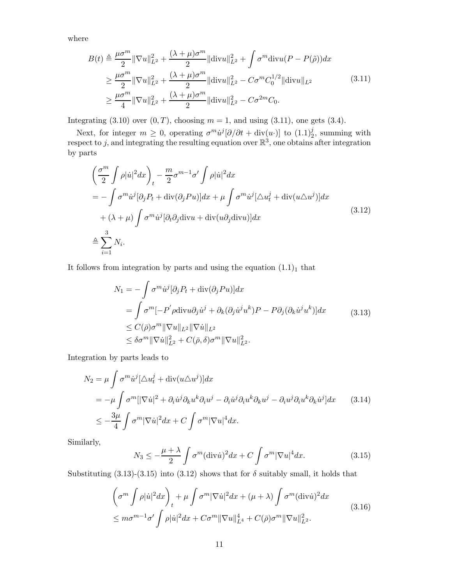where

$$
B(t) \triangleq \frac{\mu \sigma^m}{2} \|\nabla u\|_{L^2}^2 + \frac{(\lambda + \mu)\sigma^m}{2} \|\text{div} u\|_{L^2}^2 + \int \sigma^m \text{div} u (P - P(\tilde{\rho})) dx
$$
  
\n
$$
\geq \frac{\mu \sigma^m}{2} \|\nabla u\|_{L^2}^2 + \frac{(\lambda + \mu)\sigma^m}{2} \|\text{div} u\|_{L^2}^2 - C\sigma^m C_0^{1/2} \|\text{div} u\|_{L^2}
$$
  
\n
$$
\geq \frac{\mu \sigma^m}{4} \|\nabla u\|_{L^2}^2 + \frac{(\lambda + \mu)\sigma^m}{2} \|\text{div} u\|_{L^2}^2 - C\sigma^{2m} C_0.
$$
\n(3.11)

Integrating  $(3.10)$  over  $(0, T)$ , choosing  $m = 1$ , and using  $(3.11)$ , one gets  $(3.4)$ .

Next, for integer  $m \geq 0$ , operating  $\sigma^m \dot{u}^j [\partial/\partial t + \text{div}(u \cdot)]$  to  $(1.1)^j_2$ , summing with respect to j, and integrating the resulting equation over  $\mathbb{R}^3$ , one obtains after integration by parts

$$
\left(\frac{\sigma^m}{2} \int \rho |\dot{u}|^2 dx\right)_t - \frac{m}{2} \sigma^{m-1} \sigma' \int \rho |\dot{u}|^2 dx
$$
  
=  $-\int \sigma^m \dot{u}^j [\partial_j P_t + \text{div}(\partial_j P u)] dx + \mu \int \sigma^m \dot{u}^j [\triangle u_t^j + \text{div}(u \triangle u^j)] dx$   
+  $(\lambda + \mu) \int \sigma^m \dot{u}^j [\partial_t \partial_j \text{div}u + \text{div}(u \partial_j \text{div}u)] dx$   
 $\triangleq \sum_{i=1}^3 N_i.$  (3.12)

It follows from integration by parts and using the equation  $(1.1)<sub>1</sub>$  that

$$
N_1 = -\int \sigma^m \dot{u}^j [\partial_j P_t + \text{div}(\partial_j P u)] dx
$$
  
= 
$$
\int \sigma^m [-P' \rho \text{div}u \partial_j \dot{u}^j + \partial_k (\partial_j \dot{u}^j u^k) P - P \partial_j (\partial_k \dot{u}^j u^k)] dx
$$
  

$$
\leq C(\bar{\rho}) \sigma^m \|\nabla u\|_{L^2} \|\nabla \dot{u}\|_{L^2}
$$
  

$$
\leq \delta \sigma^m \|\nabla \dot{u}\|_{L^2}^2 + C(\bar{\rho}, \delta) \sigma^m \|\nabla u\|_{L^2}^2.
$$
 (3.13)

Integration by parts leads to

$$
N_2 = \mu \int \sigma^m \dot{u}^j [\Delta u_t^j + \text{div}(u \Delta u^j)] dx
$$
  
=  $-\mu \int \sigma^m [|\nabla \dot{u}|^2 + \partial_i \dot{u}^j \partial_k u^k \partial_i u^j - \partial_i \dot{u}^j \partial_i u^k \partial_k u^j - \partial_i u^j \partial_i u^k \partial_k \dot{u}^j] dx$  (3.14)  

$$
\leq -\frac{3\mu}{4} \int \sigma^m |\nabla \dot{u}|^2 dx + C \int \sigma^m |\nabla u|^4 dx.
$$

Similarly,

$$
N_3 \le -\frac{\mu+\lambda}{2} \int \sigma^m (\text{div}\,\dot{u})^2 dx + C \int \sigma^m |\nabla u|^4 dx. \tag{3.15}
$$

Substituting (3.13)-(3.15) into (3.12) shows that for  $\delta$  suitably small, it holds that

$$
\left(\sigma^m \int \rho |\dot{u}|^2 dx\right)_t + \mu \int \sigma^m |\nabla \dot{u}|^2 dx + (\mu + \lambda) \int \sigma^m (\text{div}\dot{u})^2 dx
$$
  

$$
\leq m\sigma^{m-1}\sigma' \int \rho |\dot{u}|^2 dx + C\sigma^m \|\nabla u\|_{L^4}^4 + C(\bar{\rho})\sigma^m \|\nabla u\|_{L^2}^2.
$$
 (3.16)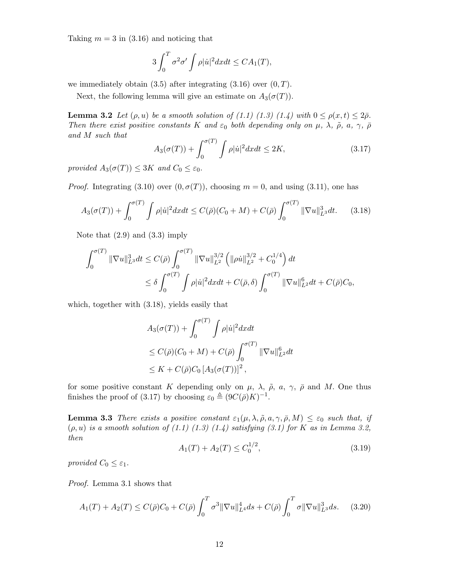Taking  $m = 3$  in (3.16) and noticing that

$$
3\int_0^T \sigma^2 \sigma' \int \rho |\dot{u}|^2 dx dt \le CA_1(T),
$$

we immediately obtain  $(3.5)$  after integrating  $(3.16)$  over  $(0, T)$ .

Next, the following lemma will give an estimate on  $A_3(\sigma(T))$ .

**Lemma 3.2** *Let*  $(\rho, u)$  *be a smooth solution of (1.1) (1.3) (1.4) with*  $0 \leq \rho(x, t) \leq 2\bar{\rho}$ *. Then there exist positive constants* K *and*  $\varepsilon_0$  *both depending only on*  $\mu$ *,*  $\lambda$ *,*  $\tilde{\rho}$ *, a,*  $\gamma$ *,*  $\bar{\rho}$ *and* M *such that*

$$
A_3(\sigma(T)) + \int_0^{\sigma(T)} \int \rho |\dot{u}|^2 dx dt \le 2K,
$$
\n(3.17)

*provided*  $A_3(\sigma(T)) \leq 3K$  *and*  $C_0 \leq \varepsilon_0$ .

*Proof.* Integrating (3.10) over  $(0, \sigma(T))$ , choosing  $m = 0$ , and using (3.11), one has

$$
A_3(\sigma(T)) + \int_0^{\sigma(T)} \int \rho |\dot{u}|^2 dx dt \le C(\bar{\rho})(C_0 + M) + C(\bar{\rho}) \int_0^{\sigma(T)} ||\nabla u||_{L^3}^3 dt. \tag{3.18}
$$

Note that (2.9) and (3.3) imply

$$
\int_0^{\sigma(T)} \|\nabla u\|_{L^3}^3 dt \le C(\bar{\rho}) \int_0^{\sigma(T)} \|\nabla u\|_{L^2}^{3/2} \left( \|\rho \dot{u}\|_{L^2}^{3/2} + C_0^{1/4} \right) dt
$$
  

$$
\le \delta \int_0^{\sigma(T)} \int \rho |\dot{u}|^2 dx dt + C(\bar{\rho}, \delta) \int_0^{\sigma(T)} \|\nabla u\|_{L^2}^6 dt + C(\bar{\rho})C_0,
$$

which, together with (3.18), yields easily that

$$
A_3(\sigma(T)) + \int_0^{\sigma(T)} \int \rho |\dot{u}|^2 dx dt
$$
  
\n
$$
\leq C(\bar{\rho})(C_0 + M) + C(\bar{\rho}) \int_0^{\sigma(T)} ||\nabla u||_{L^2}^6 dt
$$
  
\n
$$
\leq K + C(\bar{\rho})C_0 [A_3(\sigma(T))]^2,
$$

for some positive constant K depending only on  $\mu$ ,  $\lambda$ ,  $\tilde{\rho}$ ,  $a$ ,  $\gamma$ ,  $\bar{\rho}$  and M. One thus finishes the proof of (3.17) by choosing  $\varepsilon_0 \triangleq (9C(\bar{\rho})K)^{-1}$ .

**Lemma 3.3** *There exists a positive constant*  $\varepsilon_1(\mu, \lambda, \tilde{\rho}, a, \gamma, \bar{\rho}, M) \leq \varepsilon_0$  *such that, if* (ρ, u) *is a smooth solution of (1.1) (1.3) (1.4) satisfying (3.1) for* K *as in Lemma 3.2, then*

$$
A_1(T) + A_2(T) \le C_0^{1/2},\tag{3.19}
$$

*provided*  $C_0 \leq \varepsilon_1$ *.* 

*Proof.* Lemma 3.1 shows that

$$
A_1(T) + A_2(T) \le C(\bar{\rho})C_0 + C(\bar{\rho}) \int_0^T \sigma^3 \|\nabla u\|_{L^4}^4 ds + C(\bar{\rho}) \int_0^T \sigma \|\nabla u\|_{L^3}^3 ds. \tag{3.20}
$$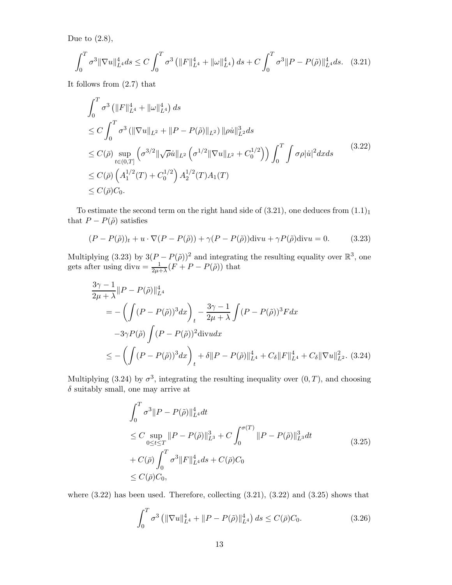Due to  $(2.8)$ ,

$$
\int_0^T \sigma^3 \|\nabla u\|_{L^4}^4 ds \le C \int_0^T \sigma^3 \left( \|F\|_{L^4}^4 + \|\omega\|_{L^4}^4 \right) ds + C \int_0^T \sigma^3 \|P - P(\tilde{\rho})\|_{L^4}^4 ds. \tag{3.21}
$$

It follows from (2.7) that

$$
\int_0^T \sigma^3 \left( \|F\|_{L^4}^4 + \|\omega\|_{L^4}^4 \right) ds
$$
\n
$$
\leq C \int_0^T \sigma^3 \left( \|\nabla u\|_{L^2} + \|P - P(\tilde{\rho})\|_{L^2} \right) \|\rho \dot{u}\|_{L^2}^3 ds
$$
\n
$$
\leq C(\bar{\rho}) \sup_{t \in (0,T]} \left( \sigma^{3/2} \|\sqrt{\rho} \dot{u}\|_{L^2} \left( \sigma^{1/2} \|\nabla u\|_{L^2} + C_0^{1/2} \right) \right) \int_0^T \int \sigma \rho |\dot{u}|^2 dx ds \qquad (3.22)
$$
\n
$$
\leq C(\bar{\rho}) \left( A_1^{1/2}(T) + C_0^{1/2} \right) A_2^{1/2}(T) A_1(T)
$$
\n
$$
\leq C(\bar{\rho}) C_0.
$$

To estimate the second term on the right hand side of  $(3.21)$ , one deduces from  $(1.1)<sub>1</sub>$ that  $P - P(\tilde{\rho})$  satisfies

$$
(P - P(\tilde{\rho}))_t + u \cdot \nabla (P - P(\tilde{\rho})) + \gamma (P - P(\tilde{\rho})) \operatorname{div} u + \gamma P(\tilde{\rho}) \operatorname{div} u = 0. \tag{3.23}
$$

Multiplying (3.23) by  $3(P - P(\tilde{\rho}))^2$  and integrating the resulting equality over  $\mathbb{R}^3$ , one gets after using div $u = \frac{1}{2\mu + \lambda} (F + P - P(\tilde{\rho}))$  that

$$
\frac{3\gamma - 1}{2\mu + \lambda} ||P - P(\tilde{\rho})||_{L^4}^4
$$
  
= 
$$
- \left( \int (P - P(\tilde{\rho}))^3 dx \right)_t - \frac{3\gamma - 1}{2\mu + \lambda} \int (P - P(\tilde{\rho}))^3 F dx
$$
  

$$
-3\gamma P(\tilde{\rho}) \int (P - P(\tilde{\rho}))^2 \text{div} u dx
$$
  

$$
\leq - \left( \int (P - P(\tilde{\rho}))^3 dx \right)_t + \delta ||P - P(\tilde{\rho})||_{L^4}^4 + C_{\delta} ||F||_{L^4}^4 + C_{\delta} ||\nabla u||_{L^2}^2. (3.24)
$$

Multiplying (3.24) by  $\sigma^3$ , integrating the resulting inequality over  $(0, T)$ , and choosing  $\delta$  suitably small, one may arrive at

$$
\int_{0}^{T} \sigma^{3} \|P - P(\tilde{\rho})\|_{L^{4}}^{4} dt
$$
\n
$$
\leq C \sup_{0 \leq t \leq T} \|P - P(\tilde{\rho})\|_{L^{3}}^{3} + C \int_{0}^{\sigma(T)} \|P - P(\tilde{\rho})\|_{L^{3}}^{3} dt
$$
\n
$$
+ C(\bar{\rho}) \int_{0}^{T} \sigma^{3} \|F\|_{L^{4}}^{4} ds + C(\bar{\rho}) C_{0}
$$
\n
$$
\leq C(\bar{\rho}) C_{0}, \qquad (3.25)
$$

where  $(3.22)$  has been used. Therefore, collecting  $(3.21)$ ,  $(3.22)$  and  $(3.25)$  shows that

$$
\int_0^T \sigma^3 \left( \|\nabla u\|_{L^4}^4 + \|P - P(\tilde{\rho})\|_{L^4}^4 \right) ds \le C(\bar{\rho})C_0.
$$
 (3.26)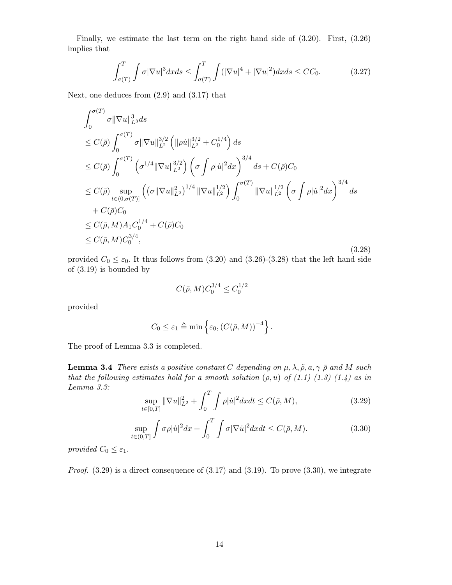Finally, we estimate the last term on the right hand side of (3.20). First, (3.26) implies that

$$
\int_{\sigma(T)}^{T} \int \sigma |\nabla u|^3 dx ds \le \int_{\sigma(T)}^{T} \int (|\nabla u|^4 + |\nabla u|^2) dx ds \le CC_0.
$$
 (3.27)

Next, one deduces from (2.9) and (3.17) that

$$
\int_{0}^{\sigma(T)} \sigma \|\nabla u\|_{L^{3}}^{3} ds
$$
\n
$$
\leq C(\bar{\rho}) \int_{0}^{\sigma(T)} \sigma \|\nabla u\|_{L^{2}}^{3/2} \left( \|\rho \dot{u}\|_{L^{2}}^{3/2} + C_{0}^{1/4} \right) ds
$$
\n
$$
\leq C(\bar{\rho}) \int_{0}^{\sigma(T)} \left( \sigma^{1/4} \|\nabla u\|_{L^{2}}^{3/2} \right) \left( \sigma \int \rho |\dot{u}|^{2} dx \right)^{3/4} ds + C(\bar{\rho}) C_{0}
$$
\n
$$
\leq C(\bar{\rho}) \sup_{t \in (0, \sigma(T)]} \left( \left( \sigma \|\nabla u\|_{L^{2}}^{2} \right)^{1/4} \|\nabla u\|_{L^{2}}^{1/2} \right) \int_{0}^{\sigma(T)} \|\nabla u\|_{L^{2}}^{1/2} \left( \sigma \int \rho |\dot{u}|^{2} dx \right)^{3/4} ds
$$
\n
$$
+ C(\bar{\rho}) C_{0}
$$
\n
$$
\leq C(\bar{\rho}, M) A_{1} C_{0}^{1/4} + C(\bar{\rho}) C_{0}
$$
\n
$$
\leq C(\bar{\rho}, M) C_{0}^{3/4}, \qquad (3.28)
$$

provided  $C_0 \leq \varepsilon_0$ . It thus follows from (3.20) and (3.26)-(3.28) that the left hand side of (3.19) is bounded by

$$
C(\bar{\rho}, M)C_0^{3/4} \le C_0^{1/2}
$$

provided

$$
C_0 \leq \varepsilon_1 \triangleq \min\left\{\varepsilon_0, (C(\bar{\rho}, M))^{-4}\right\}.
$$

The proof of Lemma 3.3 is completed.

**Lemma 3.4** *There exists a positive constant* C depending on  $\mu$ ,  $\lambda$ ,  $\tilde{\rho}$ ,  $a$ ,  $\gamma$   $\bar{\rho}$  and M such *that the following estimates hold for a smooth solution*  $(\rho, u)$  *of*  $(1.1)$   $(1.3)$   $(1.4)$  *as in Lemma 3.3:*

$$
\sup_{t \in [0,T]} \|\nabla u\|_{L^2}^2 + \int_0^T \int \rho |\dot{u}|^2 dx dt \le C(\bar{\rho}, M),\tag{3.29}
$$

$$
\sup_{t \in (0,T]} \int \sigma \rho |\dot{u}|^2 dx + \int_0^T \int \sigma |\nabla \dot{u}|^2 dx dt \le C(\bar{\rho}, M). \tag{3.30}
$$

*provided*  $C_0 \leq \varepsilon_1$ *.* 

*Proof*. (3.29) is a direct consequence of (3.17) and (3.19). To prove (3.30), we integrate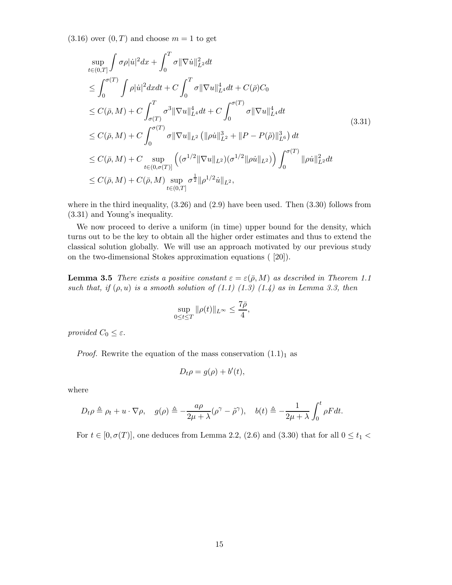$(3.16)$  over  $(0, T)$  and choose  $m = 1$  to get

$$
\sup_{t\in(0,T]} \int \sigma \rho |\dot{u}|^2 dx + \int_0^T \sigma \|\nabla \dot{u}\|_{L^2}^2 dt \n\leq \int_0^{\sigma(T)} \int \rho |\dot{u}|^2 dx dt + C \int_0^T \sigma \|\nabla u\|_{L^4}^4 dt + C(\bar{\rho})C_0 \n\leq C(\bar{\rho}, M) + C \int_{\sigma(T)}^T \sigma^3 \|\nabla u\|_{L^4}^4 dt + C \int_0^{\sigma(T)} \sigma \|\nabla u\|_{L^4}^4 dt \n\leq C(\bar{\rho}, M) + C \int_0^{\sigma(T)} \sigma \|\nabla u\|_{L^2} (\|\rho \dot{u}\|_{L^2}^3 + \|P - P(\tilde{\rho})\|_{L^6}^3) dt \n\leq C(\bar{\rho}, M) + C \sup_{t\in(0, \sigma(T)]} \left( (\sigma^{1/2} \|\nabla u\|_{L^2}) (\sigma^{1/2} \|\rho \dot{u}\|_{L^2}) \right) \int_0^{\sigma(T)} \|\rho \dot{u}\|_{L^2}^2 dt \n\leq C(\bar{\rho}, M) + C(\bar{\rho}, M) \sup_{t\in(0,T]} \sigma^{\frac{1}{2}} \|\rho^{1/2} \dot{u}\|_{L^2},
$$
\n(11)

where in the third inequality,  $(3.26)$  and  $(2.9)$  have been used. Then  $(3.30)$  follows from (3.31) and Young's inequality.

We now proceed to derive a uniform (in time) upper bound for the density, which turns out to be the key to obtain all the higher order estimates and thus to extend the classical solution globally. We will use an approach motivated by our previous study on the two-dimensional Stokes approximation equations ( [20]).

**Lemma 3.5** *There exists a positive constant*  $\varepsilon = \varepsilon(\bar{\rho}, M)$  *as described in Theorem 1.1 such that, if*  $(\rho, u)$  *is a smooth solution of*  $(1.1)$   $(1.3)$   $(1.4)$  *as in Lemma 3.3, then* 

$$
\sup_{0\leq t\leq T}\|\rho(t)\|_{L^\infty}\leq \frac{7\bar{\rho}}{4},
$$

*provided*  $C_0 \leq \varepsilon$ .

*Proof.* Rewrite the equation of the mass conservation  $(1.1)<sub>1</sub>$  as

$$
D_t \rho = g(\rho) + b'(t),
$$

where

$$
D_t \rho \triangleq \rho_t + u \cdot \nabla \rho, \quad g(\rho) \triangleq -\frac{a\rho}{2\mu + \lambda} (\rho^\gamma - \tilde{\rho}^\gamma), \quad b(t) \triangleq -\frac{1}{2\mu + \lambda} \int_0^t \rho F dt.
$$

For  $t \in [0, \sigma(T)]$ , one deduces from Lemma 2.2, (2.6) and (3.30) that for all  $0 \le t_1$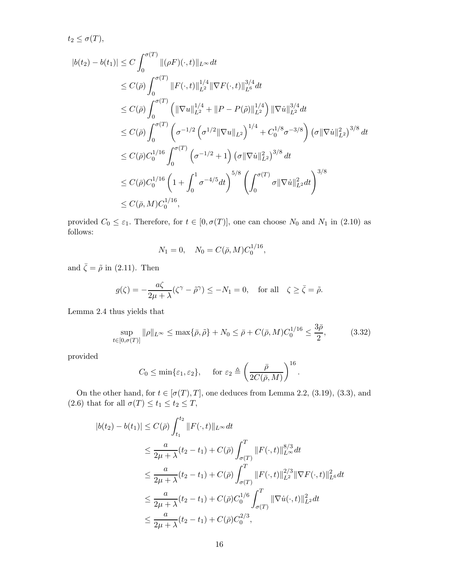$$
t_2 \leq \sigma(T),
$$
  
\n
$$
|b(t_2) - b(t_1)| \leq C \int_0^{\sigma(T)} \|(\rho F)(\cdot, t)\|_{L^{\infty}} dt
$$
  
\n
$$
\leq C(\bar{\rho}) \int_0^{\sigma(T)} \|F(\cdot, t)\|_{L^2}^{1/4} \|\nabla F(\cdot, t)\|_{L^6}^{3/4} dt
$$
  
\n
$$
\leq C(\bar{\rho}) \int_0^{\sigma(T)} \left( \|\nabla u\|_{L^2}^{1/4} + \|P - P(\tilde{\rho})\|_{L^2}^{1/4} \right) \|\nabla \dot{u}\|_{L^2}^{3/4} dt
$$
  
\n
$$
\leq C(\bar{\rho}) \int_0^{\sigma(T)} \left( \sigma^{-1/2} \left( \sigma^{1/2} \|\nabla u\|_{L^2} \right)^{1/4} + C_0^{1/8} \sigma^{-3/8} \right) (\sigma \|\nabla \dot{u}\|_{L^2}^2)^{3/8} dt
$$
  
\n
$$
\leq C(\bar{\rho}) C_0^{1/16} \int_0^{\sigma(T)} \left( \sigma^{-1/2} + 1 \right) (\sigma \|\nabla \dot{u}\|_{L^2}^2)^{3/8} dt
$$
  
\n
$$
\leq C(\bar{\rho}) C_0^{1/16} \left( 1 + \int_0^1 \sigma^{-4/5} dt \right)^{5/8} \left( \int_0^{\sigma(T)} \sigma \|\nabla \dot{u}\|_{L^2}^2 dt \right)^{3/8}
$$
  
\n
$$
\leq C(\bar{\rho}, M) C_0^{1/16},
$$

provided  $C_0 \leq \varepsilon_1$ . Therefore, for  $t \in [0, \sigma(T)]$ , one can choose  $N_0$  and  $N_1$  in (2.10) as follows:

$$
N_1 = 0, \quad N_0 = C(\bar{\rho}, M) C_0^{1/16},
$$

and  $\bar{\zeta} = \tilde{\rho}$  in (2.11). Then

$$
g(\zeta) = -\frac{a\zeta}{2\mu + \lambda} (\zeta^{\gamma} - \tilde{\rho}^{\gamma}) \le -N_1 = 0, \text{ for all } \zeta \ge \bar{\zeta} = \tilde{\rho}.
$$

Lemma 2.4 thus yields that

$$
\sup_{t \in [0,\sigma(T)]} \|\rho\|_{L^{\infty}} \le \max\{\bar{\rho}, \tilde{\rho}\} + N_0 \le \bar{\rho} + C(\bar{\rho}, M)C_0^{1/16} \le \frac{3\bar{\rho}}{2},\tag{3.32}
$$

provided

$$
C_0 \le \min{\varepsilon_1, \varepsilon_2}
$$
, for  $\varepsilon_2 \triangleq \left(\frac{\bar{\rho}}{2C(\bar{\rho}, M)}\right)^{16}$ .

On the other hand, for  $t \in [\sigma(T), T]$ , one deduces from Lemma 2.2, (3.19), (3.3), and (2.6) that for all  $\sigma(T) \le t_1 \le t_2 \le T$ ,

$$
|b(t_2) - b(t_1)| \le C(\bar{\rho}) \int_{t_1}^{t_2} ||F(\cdot, t)||_{L^{\infty}} dt
$$
  
\n
$$
\le \frac{a}{2\mu + \lambda}(t_2 - t_1) + C(\bar{\rho}) \int_{\sigma(T)}^T ||F(\cdot, t)||_{L^{\infty}}^{8/3} dt
$$
  
\n
$$
\le \frac{a}{2\mu + \lambda}(t_2 - t_1) + C(\bar{\rho}) \int_{\sigma(T)}^T ||F(\cdot, t)||_{L^2}^{2/3} ||\nabla F(\cdot, t)||_{L^6}^2 dt
$$
  
\n
$$
\le \frac{a}{2\mu + \lambda}(t_2 - t_1) + C(\bar{\rho})C_0^{1/6} \int_{\sigma(T)}^T ||\nabla \dot{u}(\cdot, t)||_{L^2}^2 dt
$$
  
\n
$$
\le \frac{a}{2\mu + \lambda}(t_2 - t_1) + C(\bar{\rho})C_0^{2/3},
$$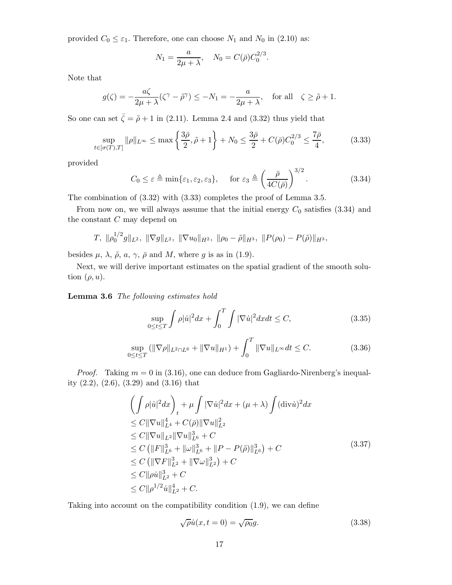provided  $C_0 \leq \varepsilon_1$ . Therefore, one can choose  $N_1$  and  $N_0$  in (2.10) as:

$$
N_1 = \frac{a}{2\mu + \lambda}, \quad N_0 = C(\bar{\rho})C_0^{2/3}.
$$

Note that

$$
g(\zeta) = -\frac{a\zeta}{2\mu + \lambda} (\zeta^{\gamma} - \tilde{\rho}^{\gamma}) \le -N_1 = -\frac{a}{2\mu + \lambda}, \quad \text{for all} \quad \zeta \ge \tilde{\rho} + 1.
$$

So one can set  $\bar{\zeta} = \tilde{\rho} + 1$  in (2.11). Lemma 2.4 and (3.32) thus yield that

$$
\sup_{t \in [\sigma(T),T]} \|\rho\|_{L^{\infty}} \le \max\left\{\frac{3\bar{\rho}}{2}, \tilde{\rho} + 1\right\} + N_0 \le \frac{3\bar{\rho}}{2} + C(\bar{\rho})C_0^{2/3} \le \frac{7\bar{\rho}}{4},\tag{3.33}
$$

provided

$$
C_0 \le \varepsilon \triangleq \min\{\varepsilon_1, \varepsilon_2, \varepsilon_3\}, \quad \text{for } \varepsilon_3 \triangleq \left(\frac{\bar{\rho}}{4C(\bar{\rho})}\right)^{3/2}.\tag{3.34}
$$

The combination of (3.32) with (3.33) completes the proof of Lemma 3.5.

From now on, we will always assume that the initial energy  $C_0$  satisfies (3.34) and the constant  $C$  may depend on

$$
T, \ \|\rho_0^{1/2}g\|_{L^2}, \ \|\nabla g\|_{L^2}, \ \|\nabla u_0\|_{H^2}, \ \|\rho_0 - \tilde{\rho}\|_{H^3}, \ \|\nabla(\rho_0) - P(\tilde{\rho})\|_{H^3},
$$

besides  $\mu$ ,  $\lambda$ ,  $\tilde{\rho}$ ,  $a$ ,  $\gamma$ ,  $\bar{\rho}$  and  $M$ , where  $g$  is as in (1.9).

Next, we will derive important estimates on the spatial gradient of the smooth solution  $(\rho, u)$ .

**Lemma 3.6** *The following estimates hold*

$$
\sup_{0 \le t \le T} \int \rho |\dot{u}|^2 dx + \int_0^T \int |\nabla \dot{u}|^2 dx dt \le C,\tag{3.35}
$$

$$
\sup_{0 \le t \le T} (\|\nabla \rho\|_{L^2 \cap L^6} + \|\nabla u\|_{H^1}) + \int_0^T \|\nabla u\|_{L^\infty} dt \le C. \tag{3.36}
$$

*Proof.* Taking  $m = 0$  in (3.16), one can deduce from Gagliardo-Nirenberg's inequality (2.2), (2.6), (3.29) and (3.16) that

$$
\left(\int \rho |\dot{u}|^2 dx\right)_t + \mu \int |\nabla \dot{u}|^2 dx + (\mu + \lambda) \int (\text{div}\dot{u})^2 dx \n\leq C \|\nabla u\|_{L^4}^4 + C(\bar{\rho}) \|\nabla u\|_{L^2}^2 \n\leq C \|\nabla u\|_{L^2} \|\nabla u\|_{L^6}^3 + C \n\leq C \left(\|F\|_{L^6}^3 + \|\omega\|_{L^6}^3 + \|P - P(\tilde{\rho})\|_{L^6}^3\right) + C \n\leq C \left(\|\nabla F\|_{L^2}^3 + \|\nabla \omega\|_{L^2}^3\right) + C \n\leq C \|\rho \dot{u}\|_{L^2}^3 + C \n\leq C \|\rho^{1/2} \dot{u}\|_{L^2}^4 + C.
$$
\n(3.37)

Taking into account on the compatibility condition (1.9), we can define

$$
\sqrt{\rho} \dot{u}(x, t=0) = \sqrt{\rho_0} g. \tag{3.38}
$$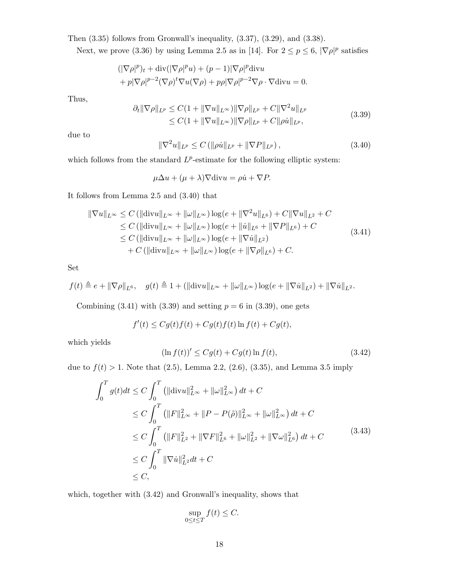Then  $(3.35)$  follows from Gronwall's inequality,  $(3.37)$ ,  $(3.29)$ , and  $(3.38)$ .

Next, we prove (3.36) by using Lemma 2.5 as in [14]. For  $2 \le p \le 6$ ,  $|\nabla \rho|^p$  satisfies

$$
(|\nabla \rho|^p)_t + \text{div}(|\nabla \rho|^p u) + (p-1)|\nabla \rho|^p \text{div} u
$$
  
+  $p|\nabla \rho|^{p-2} (\nabla \rho)^t \nabla u (\nabla \rho) + p\rho |\nabla \rho|^{p-2} \nabla \rho \cdot \nabla \text{div} u = 0.$ 

Thus,

$$
\partial_t \|\nabla \rho\|_{L^p} \le C(1 + \|\nabla u\|_{L^\infty}) \|\nabla \rho\|_{L^p} + C \|\nabla^2 u\|_{L^p} \le C(1 + \|\nabla u\|_{L^\infty}) \|\nabla \rho\|_{L^p} + C \|\rho \dot{u}\|_{L^p},
$$
\n(3.39)

due to

$$
\|\nabla^2 u\|_{L^p} \le C \left( \|\rho \dot{u}\|_{L^p} + \|\nabla P\|_{L^p} \right),\tag{3.40}
$$

which follows from the standard  $L^p$ -estimate for the following elliptic system:

$$
\mu \Delta u + (\mu + \lambda) \nabla \text{div} u = \rho \dot{u} + \nabla P.
$$

It follows from Lemma 2.5 and (3.40) that

$$
\|\nabla u\|_{L^{\infty}} \leq C \left( \|\text{div} u\|_{L^{\infty}} + \|\omega\|_{L^{\infty}} \right) \log(e + \|\nabla^2 u\|_{L^6}) + C \|\nabla u\|_{L^2} + C
$$
  
\n
$$
\leq C \left( \|\text{div} u\|_{L^{\infty}} + \|\omega\|_{L^{\infty}} \right) \log(e + \|u\|_{L^6} + \|\nabla P\|_{L^6}) + C
$$
  
\n
$$
\leq C \left( \|\text{div} u\|_{L^{\infty}} + \|\omega\|_{L^{\infty}} \right) \log(e + \|\nabla u\|_{L^2})
$$
  
\n
$$
+ C \left( \|\text{div} u\|_{L^{\infty}} + \|\omega\|_{L^{\infty}} \right) \log(e + \|\nabla \rho\|_{L^6}) + C.
$$
\n(3.41)

Set

$$
f(t) \triangleq e + ||\nabla \rho||_{L^6}, \quad g(t) \triangleq 1 + (||\text{div}u||_{L^{\infty}} + ||\omega||_{L^{\infty}}) \log(e + ||\nabla \dot{u}||_{L^2}) + ||\nabla \dot{u}||_{L^2}.
$$

Combining  $(3.41)$  with  $(3.39)$  and setting  $p = 6$  in  $(3.39)$ , one gets

$$
f'(t) \le Cg(t)f(t) + Cg(t)f(t) \ln f(t) + Cg(t),
$$

which yields

$$
(\ln f(t))' \le Cg(t) + Cg(t)\ln f(t),\tag{3.42}
$$

due to  $f(t) > 1$ . Note that (2.5), Lemma 2.2, (2.6), (3.35), and Lemma 3.5 imply

$$
\int_{0}^{T} g(t)dt \leq C \int_{0}^{T} \left( \|\text{div}u\|_{L^{\infty}}^{2} + \|\omega\|_{L^{\infty}}^{2} \right) dt + C
$$
  
\n
$$
\leq C \int_{0}^{T} \left( \|F\|_{L^{\infty}}^{2} + \|P - P(\tilde{\rho})\|_{L^{\infty}}^{2} + \|\omega\|_{L^{\infty}}^{2} \right) dt + C
$$
  
\n
$$
\leq C \int_{0}^{T} \left( \|F\|_{L^{2}}^{2} + \|\nabla F\|_{L^{6}}^{2} + \|\omega\|_{L^{2}}^{2} + \|\nabla \omega\|_{L^{6}}^{2} \right) dt + C
$$
  
\n
$$
\leq C \int_{0}^{T} \|\nabla \dot{u}\|_{L^{2}}^{2} dt + C
$$
  
\n
$$
\leq C,
$$
  
\n(3.43)

which, together with (3.42) and Gronwall's inequality, shows that

$$
\sup_{0\leq t\leq T} f(t) \leq C.
$$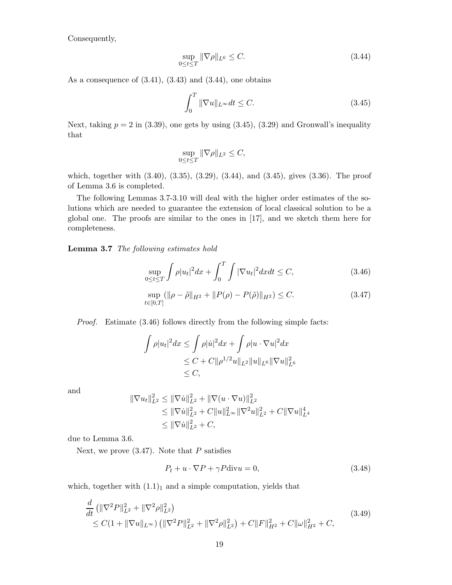Consequently,

$$
\sup_{0 \le t \le T} \|\nabla \rho\|_{L^6} \le C. \tag{3.44}
$$

As a consequence of  $(3.41)$ ,  $(3.43)$  and  $(3.44)$ , one obtains

$$
\int_{0}^{T} \|\nabla u\|_{L^{\infty}} dt \le C.
$$
\n(3.45)

Next, taking  $p = 2$  in (3.39), one gets by using (3.45), (3.29) and Gronwall's inequality that

$$
\sup_{0\leq t\leq T} \|\nabla \rho\|_{L^2} \leq C,
$$

which, together with (3.40), (3.35), (3.29), (3.44), and (3.45), gives (3.36). The proof of Lemma 3.6 is completed.

The following Lemmas 3.7-3.10 will deal with the higher order estimates of the solutions which are needed to guarantee the extension of local classical solution to be a global one. The proofs are similar to the ones in [17], and we sketch them here for completeness.

**Lemma 3.7** *The following estimates hold*

$$
\sup_{0 \le t \le T} \int \rho |u_t|^2 dx + \int_0^T \int |\nabla u_t|^2 dx dt \le C,\tag{3.46}
$$

$$
\sup_{t \in [0,T]} (\|\rho - \tilde{\rho}\|_{H^2} + \|P(\rho) - P(\tilde{\rho})\|_{H^2}) \le C. \tag{3.47}
$$

*Proof.* Estimate (3.46) follows directly from the following simple facts:

$$
\int \rho |u_t|^2 dx \le \int \rho |\dot{u}|^2 dx + \int \rho |u \cdot \nabla u|^2 dx
$$
  
\n
$$
\le C + C \|\rho^{1/2} u\|_{L^2} \|u\|_{L^6} \|\nabla u\|_{L^6}^2
$$
  
\n
$$
\le C,
$$

and

$$
\|\nabla u_t\|_{L^2}^2 \le \|\nabla \dot{u}\|_{L^2}^2 + \|\nabla (u \cdot \nabla u)\|_{L^2}^2
$$
  
\n
$$
\le \|\nabla \dot{u}\|_{L^2}^2 + C\|u\|_{L^\infty}^2 \|\nabla^2 u\|_{L^2}^2 + C\|\nabla u\|_{L^4}^4
$$
  
\n
$$
\le \|\nabla \dot{u}\|_{L^2}^2 + C,
$$

due to Lemma 3.6.

Next, we prove  $(3.47)$ . Note that P satisfies

$$
P_t + u \cdot \nabla P + \gamma P \text{div} u = 0,\tag{3.48}
$$

which, together with  $(1.1)<sub>1</sub>$  and a simple computation, yields that

$$
\frac{d}{dt} \left( \|\nabla^2 P\|_{L^2}^2 + \|\nabla^2 \rho\|_{L^2}^2 \right) \n\leq C(1 + \|\nabla u\|_{L^\infty}) \left( \|\nabla^2 P\|_{L^2}^2 + \|\nabla^2 \rho\|_{L^2}^2 \right) + C \|F\|_{H^2}^2 + C \|\omega\|_{H^2}^2 + C,
$$
\n(3.49)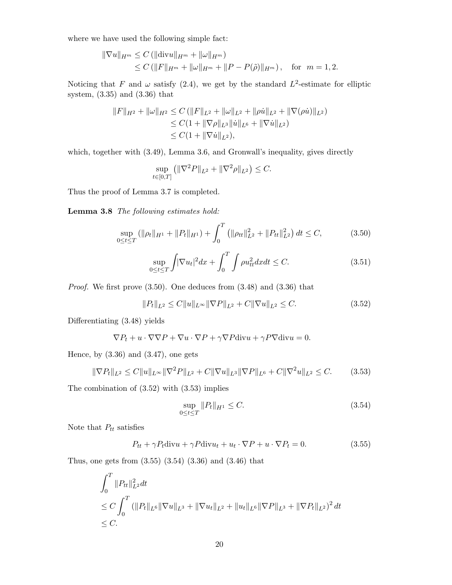where we have used the following simple fact:

$$
\|\nabla u\|_{H^m} \le C \left( \|\text{div} u\|_{H^m} + \|\omega\|_{H^m} \right)
$$
  
\$\le C \left( \|F\|\_{H^m} + \|\omega\|\_{H^m} + \|P - P(\tilde{\rho})\|\_{H^m} \right), \text{ for } m = 1, 2\$.

Noticing that F and  $\omega$  satisfy (2.4), we get by the standard  $L^2$ -estimate for elliptic system, (3.35) and (3.36) that

$$
||F||_{H^2} + ||\omega||_{H^2} \leq C (||F||_{L^2} + ||\omega||_{L^2} + ||\rho \dot{u}||_{L^2} + ||\nabla(\rho \dot{u})||_{L^2})
$$
  
\n
$$
\leq C(1 + ||\nabla \rho||_{L^3} ||\dot{u}||_{L^6} + ||\nabla \dot{u}||_{L^2})
$$
  
\n
$$
\leq C(1 + ||\nabla \dot{u}||_{L^2}),
$$

which, together with  $(3.49)$ , Lemma 3.6, and Gronwall's inequality, gives directly

$$
\sup_{t \in [0,T]} \left( \|\nabla^2 P\|_{L^2} + \|\nabla^2 \rho\|_{L^2} \right) \le C.
$$

Thus the proof of Lemma 3.7 is completed.

**Lemma 3.8** *The following estimates hold:*

$$
\sup_{0 \le t \le T} (\|\rho_t\|_{H^1} + \|P_t\|_{H^1}) + \int_0^T (\|\rho_{tt}\|_{L^2}^2 + \|P_{tt}\|_{L^2}^2) dt \le C, \tag{3.50}
$$

$$
\sup_{0 \le t \le T} \int |\nabla u_t|^2 dx + \int_0^T \int \rho u_{tt}^2 dx dt \le C. \tag{3.51}
$$

*Proof.* We first prove (3.50). One deduces from (3.48) and (3.36) that

$$
||P_t||_{L^2} \le C||u||_{L^\infty} ||\nabla P||_{L^2} + C||\nabla u||_{L^2} \le C. \tag{3.52}
$$

Differentiating (3.48) yields

$$
\nabla P_t + u \cdot \nabla \nabla P + \nabla u \cdot \nabla P + \gamma \nabla P \text{div} u + \gamma P \nabla \text{div} u = 0.
$$

Hence, by  $(3.36)$  and  $(3.47)$ , one gets

$$
\|\nabla P_t\|_{L^2} \le C \|u\|_{L^\infty} \|\nabla^2 P\|_{L^2} + C \|\nabla u\|_{L^3} \|\nabla P\|_{L^6} + C \|\nabla^2 u\|_{L^2} \le C. \tag{3.53}
$$

The combination of (3.52) with (3.53) implies

$$
\sup_{0 \le t \le T} \|P_t\|_{H^1} \le C. \tag{3.54}
$$

Note that  $P_{tt}$  satisfies

$$
P_{tt} + \gamma P_t \text{div}u + \gamma P \text{div}u_t + u_t \cdot \nabla P + u \cdot \nabla P_t = 0. \qquad (3.55)
$$

Thus, one gets from (3.55) (3.54) (3.36) and (3.46) that

$$
\int_0^T \|P_{tt}\|_{L^2}^2 dt
$$
\n
$$
\leq C \int_0^T (\|P_t\|_{L^6} \|\nabla u\|_{L^3} + \|\nabla u_t\|_{L^2} + \|u_t\|_{L^6} \|\nabla P\|_{L^3} + \|\nabla P_t\|_{L^2})^2 dt
$$
\n
$$
\leq C.
$$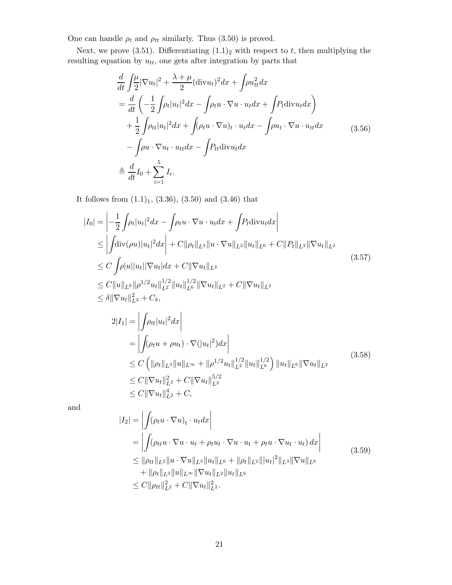One can handle  $\rho_t$  and  $\rho_{tt}$  similarly. Thus (3.50) is proved.

Next, we prove (3.51). Differentiating  $(1.1)<sub>2</sub>$  with respect to t, then multiplying the resulting equation by  $u_{tt}$ , one gets after integration by parts that

$$
\frac{d}{dt} \int_{2}^{\mu} |\nabla u_{t}|^{2} + \frac{\lambda + \mu}{2} (\text{div} u_{t})^{2} dx + \int \rho u_{tt}^{2} dx
$$
\n
$$
= \frac{d}{dt} \left( -\frac{1}{2} \int \rho_{t} |u_{t}|^{2} dx - \int \rho_{t} u \cdot \nabla u \cdot u_{t} dx + \int P_{t} \text{div} u_{t} dx \right)
$$
\n
$$
+ \frac{1}{2} \int \rho_{tt} |u_{t}|^{2} dx + \int (\rho_{t} u \cdot \nabla u)_{t} \cdot u_{t} dx - \int \rho u_{t} \cdot \nabla u \cdot u_{t} dx
$$
\n
$$
- \int \rho u \cdot \nabla u_{t} \cdot u_{t} dx - \int P_{tt} \text{div} u_{t} dx
$$
\n
$$
\triangleq \frac{d}{dt} I_{0} + \sum_{i=1}^{5} I_{i}.
$$
\n(3.56)

It follows from  $(1.1)_1$ ,  $(3.36)$ ,  $(3.50)$  and  $(3.46)$  that

$$
|I_{0}| = \left| -\frac{1}{2} \int \rho_{t} |u_{t}|^{2} dx - \int \rho_{t} u \cdot \nabla u \cdot u_{t} dx + \int P_{t} \text{div} u_{t} dx \right|
$$
  
\n
$$
\leq \left| \int \text{div}(\rho u) |u_{t}|^{2} dx \right| + C \|\rho_{t}\|_{L^{3}} \|u \cdot \nabla u\|_{L^{2}} \|u_{t}\|_{L^{6}} + C \|P_{t}\|_{L^{2}} \|\nabla u_{t}\|_{L^{2}}
$$
  
\n
$$
\leq C \int \rho |u| |u_{t}| |\nabla u_{t}| dx + C \|\nabla u_{t}\|_{L^{2}}
$$
  
\n
$$
\leq C \|u\|_{L^{6}} \|\rho^{1/2} u_{t}\|_{L^{2}}^{1/2} \|u_{t}\|_{L^{6}}^{1/2} \|\nabla u_{t}\|_{L^{2}} + C \|\nabla u_{t}\|_{L^{2}}
$$
  
\n
$$
\leq \delta \|\nabla u_{t}\|_{L^{2}}^{2} + C_{\delta},
$$
  
\n
$$
2|I_{1}| = \left| \int \rho_{tt} |u_{t}|^{2} dx \right|
$$
  
\n(3.57)

$$
|I_{1}| = \left| \int \rho_{tt} |u_{t}|^{-} dx \right|
$$
  
\n
$$
= \left| \int (\rho_{t} u + \rho u_{t}) \cdot \nabla (|u_{t}|^{2}) dx \right|
$$
  
\n
$$
\leq C \left( \|\rho_{t}\|_{L^{3}} \|u\|_{L^{\infty}} + \|\rho^{1/2} u_{t}\|_{L^{2}}^{1/2} \|u_{t}\|_{L^{6}}^{1/2} \right) \|u_{t}\|_{L^{6}} \|\nabla u_{t}\|_{L^{2}}
$$
  
\n
$$
\leq C \|\nabla u_{t}\|_{L^{2}}^{2} + C \|\nabla u_{t}\|_{L^{2}}^{5/2}
$$
  
\n
$$
\leq C \|\nabla u_{t}\|_{L^{2}}^{4} + C,
$$
\n(3.58)

and

$$
|I_{2}| = \left| \int (\rho_{t} u \cdot \nabla u)_{t} \cdot u_{t} dx \right|
$$
  
\n
$$
= \left| \int (\rho_{tt} u \cdot \nabla u \cdot u_{t} + \rho_{t} u_{t} \cdot \nabla u \cdot u_{t} + \rho_{t} u \cdot \nabla u_{t} \cdot u_{t}) dx \right|
$$
  
\n
$$
\leq ||\rho_{tt}||_{L^{2}} ||u \cdot \nabla u||_{L^{3}} ||u_{t}||_{L^{6}} + ||\rho_{t}||_{L^{2}} |||u_{t}|^{2}||_{L^{3}} ||\nabla u||_{L^{6}}
$$
  
\n
$$
+ ||\rho_{t}||_{L^{3}} ||u||_{L^{\infty}} ||\nabla u_{t}||_{L^{2}} ||u_{t}||_{L^{6}}
$$
  
\n
$$
\leq C ||\rho_{tt}||_{L^{2}}^{2} + C ||\nabla u_{t}||_{L^{2}}^{2}.
$$
\n(3.59)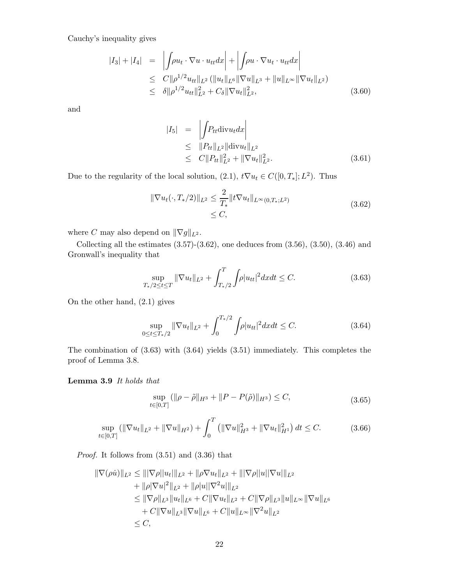Cauchy's inequality gives

$$
|I_3| + |I_4| = \left| \int \rho u_t \cdot \nabla u \cdot u_{tt} dx \right| + \left| \int \rho u \cdot \nabla u_t \cdot u_{tt} dx \right|
$$
  
\n
$$
\leq C \|\rho^{1/2} u_{tt}\|_{L^2} (\|u_t\|_{L^6} \|\nabla u\|_{L^3} + \|u\|_{L^\infty} \|\nabla u_t\|_{L^2})
$$
  
\n
$$
\leq \delta \|\rho^{1/2} u_{tt}\|_{L^2}^2 + C_\delta \|\nabla u_t\|_{L^2}^2, \tag{3.60}
$$

and

$$
|I_5| = \left| \int P_{tt} \text{div} u_t dx \right|
$$
  
\n
$$
\leq \|P_{tt}\|_{L^2} \|\text{div} u_t\|_{L^2}
$$
  
\n
$$
\leq C \|P_{tt}\|_{L^2}^2 + \|\nabla u_t\|_{L^2}^2.
$$
\n(3.61)

Due to the regularity of the local solution,  $(2.1)$ ,  $t\nabla u_t \in C([0, T_*]; L^2)$ . Thus

$$
\|\nabla u_t(\cdot, T_*/2)\|_{L^2} \le \frac{2}{T_*} \|t\nabla u_t\|_{L^\infty(0, T_*, L^2)}
$$
\n
$$
\le C,
$$
\n(3.62)

where C may also depend on  $\|\nabla g\|_{L^2}$ .

Collecting all the estimates  $(3.57)-(3.62)$ , one deduces from  $(3.56)$ ,  $(3.50)$ ,  $(3.46)$  and Gronwall's inequality that

$$
\sup_{T_*/2 \le t \le T} \|\nabla u_t\|_{L^2} + \int_{T_*/2}^T \int \rho |u_{tt}|^2 dx dt \le C. \tag{3.63}
$$

On the other hand, (2.1) gives

$$
\sup_{0 \le t \le T_*/2} \|\nabla u_t\|_{L^2} + \int_0^{T_*/2} \int \rho |u_{tt}|^2 dx dt \le C. \tag{3.64}
$$

The combination of (3.63) with (3.64) yields (3.51) immediately. This completes the proof of Lemma 3.8.

#### **Lemma 3.9** *It holds that*

$$
\sup_{t \in [0,T]} (\|\rho - \tilde{\rho}\|_{H^3} + \|P - P(\tilde{\rho})\|_{H^3}) \le C, \tag{3.65}
$$

$$
\sup_{t \in [0,T]} \left( \|\nabla u_t\|_{L^2} + \|\nabla u\|_{H^2} \right) + \int_0^T \left( \|\nabla u\|_{H^3}^2 + \|\nabla u_t\|_{H^1}^2 \right) dt \le C. \tag{3.66}
$$

*Proof.* It follows from (3.51) and (3.36) that

$$
\|\nabla(\rho \dot{u})\|_{L^2} \leq \||\nabla \rho||u_t|\|_{L^2} + \|\rho \nabla u_t\|_{L^2} + \||\nabla \rho||u||\nabla u|\|_{L^2}
$$
  
+ 
$$
\|\rho|\nabla u|^2\|_{L^2} + \|\rho|u||\nabla^2 u|\|_{L^2}
$$
  

$$
\leq \|\nabla \rho\|_{L^3} \|u_t\|_{L^6} + C\|\nabla u_t\|_{L^2} + C\|\nabla \rho\|_{L^3} \|u\|_{L^\infty} \|\nabla u\|_{L^6}
$$
  
+ 
$$
C\|\nabla u\|_{L^3} \|\nabla u\|_{L^6} + C\|u\|_{L^\infty} \|\nabla^2 u\|_{L^2}
$$
  

$$
\leq C,
$$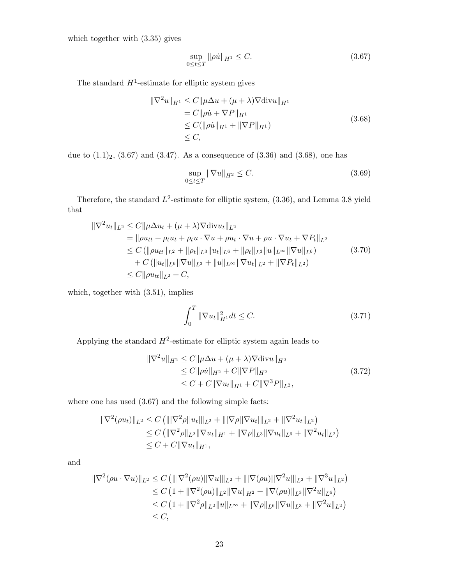which together with (3.35) gives

$$
\sup_{0 \le t \le T} \|\rho \dot{u}\|_{H^1} \le C. \tag{3.67}
$$

The standard  $H^1$ -estimate for elliptic system gives

$$
\|\nabla^2 u\|_{H^1} \le C \|\mu \Delta u + (\mu + \lambda) \nabla \text{div} u\|_{H^1}
$$
  
=  $C \|\rho \dot{u} + \nabla P\|_{H^1}$   
 $\le C (\|\rho \dot{u}\|_{H^1} + \|\nabla P\|_{H^1})$   
 $\le C,$  (3.68)

due to  $(1.1)_2$ ,  $(3.67)$  and  $(3.47)$ . As a consequence of  $(3.36)$  and  $(3.68)$ , one has

$$
\sup_{0 \le t \le T} \|\nabla u\|_{H^2} \le C. \tag{3.69}
$$

Therefore, the standard  $L^2$ -estimate for elliptic system,  $(3.36)$ , and Lemma 3.8 yield that

$$
\|\nabla^2 u_t\|_{L^2} \le C \|\mu \Delta u_t + (\mu + \lambda) \nabla \text{div} u_t\|_{L^2}
$$
  
\n
$$
= \|\rho u_{tt} + \rho_t u_t + \rho_t u \cdot \nabla u + \rho u \cdot \nabla u + \rho u \cdot \nabla u_t + \nabla P_t\|_{L^2}
$$
  
\n
$$
\le C (\|\rho u_{tt}\|_{L^2} + \|\rho_t\|_{L^3} \|u_t\|_{L^6} + \|\rho_t\|_{L^3} \|u_t\|_{L^\infty} \|\nabla u\|_{L^6})
$$
  
\n
$$
+ C (\|u_t\|_{L^6} \|\nabla u\|_{L^3} + \|u\|_{L^\infty} \|\nabla u_t\|_{L^2} + \|\nabla P_t\|_{L^2})
$$
  
\n
$$
\le C \|\rho u_{tt}\|_{L^2} + C,
$$
 (3.70)

which, together with (3.51), implies

$$
\int_{0}^{T} \|\nabla u_{t}\|_{H^{1}}^{2} dt \leq C.
$$
 (3.71)

Applying the standard  $H^2$ -estimate for elliptic system again leads to

$$
\|\nabla^2 u\|_{H^2} \le C \|\mu \Delta u + (\mu + \lambda) \nabla \text{div} u\|_{H^2}
$$
  
\n
$$
\le C \|\rho \dot{u}\|_{H^2} + C \|\nabla P\|_{H^2}
$$
  
\n
$$
\le C + C \|\nabla u_t\|_{H^1} + C \|\nabla^3 P\|_{L^2},
$$
\n(3.72)

where one has used (3.67) and the following simple facts:

$$
\begin{aligned} \|\nabla^2(\rho u_t)\|_{L^2} &\leq C \left( \|\nabla^2 \rho \|u_t\|_{L^2} + \|\nabla \rho \|\nabla u_t\|_{L^2} + \|\nabla^2 u_t\|_{L^2} \right) \\ &\leq C \left( \|\nabla^2 \rho\|_{L^2} \|\nabla u_t\|_{H^1} + \|\nabla \rho\|_{L^3} \|\nabla u_t\|_{L^6} + \|\nabla^2 u_t\|_{L^2} \right) \\ &\leq C + C \|\nabla u_t\|_{H^1}, \end{aligned}
$$

and

$$
\begin{aligned} \|\nabla^2(\rho u \cdot \nabla u)\|_{L^2} &\leq C \left( \|\nabla^2(\rho u)\|\nabla u\|_{L^2} + \|\nabla(\rho u)\|\nabla^2 u\|_{L^2} + \|\nabla^3 u\|_{L^2} \right) \\ &\leq C \left( 1 + \|\nabla^2(\rho u)\|_{L^2} \|\nabla u\|_{H^2} + \|\nabla(\rho u)\|_{L^3} \|\nabla^2 u\|_{L^6} \right) \\ &\leq C \left( 1 + \|\nabla^2 \rho\|_{L^2} \|u\|_{L^\infty} + \|\nabla \rho\|_{L^6} \|\nabla u\|_{L^3} + \|\nabla^2 u\|_{L^2} \right) \\ &\leq C, \end{aligned}
$$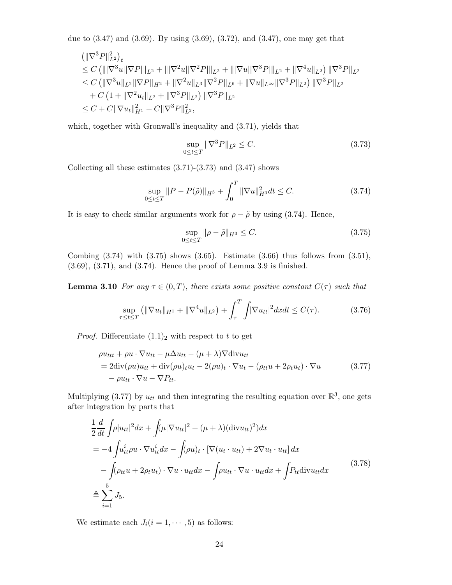due to (3.47) and (3.69). By using (3.69), (3.72), and (3.47), one may get that

$$
\begin{aligned}\n&\left(\|\nabla^3 P\|_{L^2}^2\right)_t \\
&\leq C \left(\||\nabla^3 u||\nabla P|\|_{L^2} + \||\nabla^2 u||\nabla^2 P|\|_{L^2} + \||\nabla u||\nabla^3 P|\|_{L^2} + \|\nabla^4 u\|_{L^2}\right) \|\nabla^3 P\|_{L^2} \\
&\leq C \left(\|\nabla^3 u\|_{L^2} \|\nabla P\|_{H^2} + \|\nabla^2 u\|_{L^3} \|\nabla^2 P\|_{L^6} + \|\nabla u\|_{L^\infty} \|\nabla^3 P\|_{L^2}\right) \|\nabla^3 P\|_{L^2} \\
&+ C \left(1 + \|\nabla^2 u_t\|_{L^2} + \|\nabla^3 P\|_{L^2}\right) \|\nabla^3 P\|_{L^2} \\
&\leq C + C \|\nabla u_t\|_{H^1}^2 + C \|\nabla^3 P\|_{L^2}^2,\n\end{aligned}
$$

which, together with Gronwall's inequality and (3.71), yields that

$$
\sup_{0 \le t \le T} \|\nabla^3 P\|_{L^2} \le C. \tag{3.73}
$$

Collecting all these estimates  $(3.71)-(3.73)$  and  $(3.47)$  shows

$$
\sup_{0 \le t \le T} \|P - P(\tilde{\rho})\|_{H^3} + \int_0^T \|\nabla u\|_{H^3}^2 dt \le C. \tag{3.74}
$$

It is easy to check similar arguments work for  $\rho - \tilde{\rho}$  by using (3.74). Hence,

$$
\sup_{0 \le t \le T} \|\rho - \tilde{\rho}\|_{H^3} \le C. \tag{3.75}
$$

Combing  $(3.74)$  with  $(3.75)$  shows  $(3.65)$ . Estimate  $(3.66)$  thus follows from  $(3.51)$ , (3.69), (3.71), and (3.74). Hence the proof of Lemma 3.9 is finished.

**Lemma 3.10** *For any*  $\tau \in (0, T)$ *, there exists some positive constant*  $C(\tau)$  *such that* 

$$
\sup_{\tau \le t \le T} \left( \|\nabla u_t\|_{H^1} + \|\nabla^4 u\|_{L^2} \right) + \int_{\tau}^T \int |\nabla u_{tt}|^2 dx dt \le C(\tau). \tag{3.76}
$$

*Proof.* Differentiate  $(1.1)<sub>2</sub>$  with respect to t to get

$$
\rho u_{ttt} + \rho u \cdot \nabla u_{tt} - \mu \Delta u_{tt} - (\mu + \lambda) \nabla \text{div} u_{tt}
$$
  
= 2 \text{div}(\rho u) u\_{tt} + \text{div}(\rho u)\_{t} u\_{t} - 2(\rho u)\_{t} \cdot \nabla u\_{t} - (\rho\_{tt} u + 2\rho\_{t} u\_{t}) \cdot \nabla u  
- \rho u\_{tt} \cdot \nabla u - \nabla P\_{tt}. (3.77)

Multiplying (3.77) by  $u_{tt}$  and then integrating the resulting equation over  $\mathbb{R}^3$ , one gets after integration by parts that

$$
\frac{1}{2}\frac{d}{dt}\int \rho |u_{tt}|^2 dx + \int (\mu |\nabla u_{tt}|^2 + (\mu + \lambda)(\text{div}u_{tt})^2) dx
$$
\n
$$
= -4\int u_{tt}^i \rho u \cdot \nabla u_{tt}^i dx - \int (\rho u)_t \cdot [\nabla (u_t \cdot u_{tt}) + 2\nabla u_t \cdot u_{tt}] dx
$$
\n
$$
- \int (\rho_{tt} u + 2\rho_t u_t) \cdot \nabla u \cdot u_{tt} dx - \int \rho u_{tt} \cdot \nabla u \cdot u_{tt} dx + \int P_{tt} \text{div}u_{tt} dx
$$
\n
$$
\stackrel{5}{=} \sum_{i=1}^5 J_5.
$$
\n(3.78)

We estimate each  $J_i(i = 1, \dots, 5)$  as follows: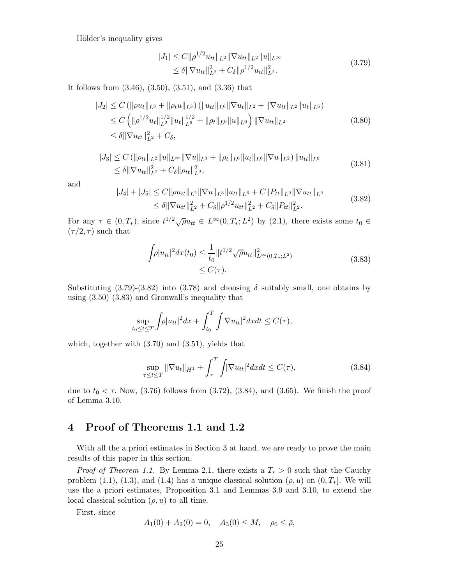Hölder's inequality gives

$$
|J_1| \leq C \|\rho^{1/2} u_{tt}\|_{L^2} \|\nabla u_{tt}\|_{L^2} \|u\|_{L^\infty}
$$
  
\n
$$
\leq \delta \|\nabla u_{tt}\|_{L^2}^2 + C_\delta \|\rho^{1/2} u_{tt}\|_{L^2}^2.
$$
\n(3.79)

It follows from (3.46), (3.50), (3.51), and (3.36) that

$$
|J_2| \leq C \left( \|\rho u_t\|_{L^3} + \|\rho_t u\|_{L^3} \right) \left( \|u_{tt}\|_{L^6} \|\nabla u_t\|_{L^2} + \|\nabla u_{tt}\|_{L^2} \|u_t\|_{L^6} \right)
$$
  
\n
$$
\leq C \left( \|\rho^{1/2} u_t\|_{L^2}^{1/2} \|u_t\|_{L^6}^{1/2} + \|\rho_t\|_{L^6} \|u\|_{L^6} \right) \|\nabla u_{tt}\|_{L^2}
$$
  
\n
$$
\leq \delta \|\nabla u_{tt}\|_{L^2}^2 + C_\delta,
$$
\n(3.80)

$$
|J_3| \leq C \left( \|\rho_{tt}\|_{L^2} \|u\|_{L^\infty} \|\nabla u\|_{L^3} + \|\rho_t\|_{L^6} \|u_t\|_{L^6} \|\nabla u\|_{L^2} \right) \|u_{tt}\|_{L^6}
$$
  
\n
$$
\leq \delta \|\nabla u_{tt}\|_{L^2}^2 + C_\delta \|\rho_{tt}\|_{L^2}^2,
$$
\n(3.81)

and

$$
|J_4| + |J_5| \le C \|\rho u_{tt}\|_{L^2} \|\nabla u\|_{L^3} \|u_{tt}\|_{L^6} + C \|P_{tt}\|_{L^2} \|\nabla u_{tt}\|_{L^2}
$$
  
\n
$$
\le \delta \|\nabla u_{tt}\|_{L^2}^2 + C_\delta \|\rho^{1/2} u_{tt}\|_{L^2}^2 + C_\delta \|P_{tt}\|_{L^2}^2. \tag{3.82}
$$

For any  $\tau \in (0, T_*)$ , since  $t^{1/2}\sqrt{\rho}u_{tt} \in L^{\infty}(0, T_*; L^2)$  by (2.1), there exists some  $t_0 \in$  $(\tau/2, \tau)$  such that

$$
\int \rho |u_{tt}|^2 dx(t_0) \le \frac{1}{t_0} \|t^{1/2} \sqrt{\rho} u_{tt}\|_{L^\infty(0,T_*)}^2
$$
\n
$$
\le C(\tau). \tag{3.83}
$$

Substituting  $(3.79)-(3.82)$  into  $(3.78)$  and choosing  $\delta$  suitably small, one obtains by using (3.50) (3.83) and Gronwall's inequality that

$$
\sup_{t_0 \le t \le T} \int \rho |u_{tt}|^2 dx + \int_{t_0}^T \int |\nabla u_{tt}|^2 dx dt \le C(\tau),
$$

which, together with  $(3.70)$  and  $(3.51)$ , yields that

$$
\sup_{\tau \le t \le T} \|\nabla u_t\|_{H^1} + \int_{\tau}^T \int |\nabla u_{tt}|^2 dx dt \le C(\tau),\tag{3.84}
$$

due to  $t_0 < \tau$ . Now, (3.76) follows from (3.72), (3.84), and (3.65). We finish the proof of Lemma 3.10.

## **4 Proof of Theorems 1.1 and 1.2**

With all the a priori estimates in Section 3 at hand, we are ready to prove the main results of this paper in this section.

*Proof of Theorem 1.1.* By Lemma 2.1, there exists a  $T_* > 0$  such that the Cauchy problem (1.1), (1.3), and (1.4) has a unique classical solution  $(\rho, u)$  on  $(0, T_*]$ . We will use the a priori estimates, Proposition 3.1 and Lemmas 3.9 and 3.10, to extend the local classical solution  $(\rho, u)$  to all time.

First, since

$$
A_1(0) + A_2(0) = 0, \quad A_3(0) \le M, \quad \rho_0 \le \bar{\rho},
$$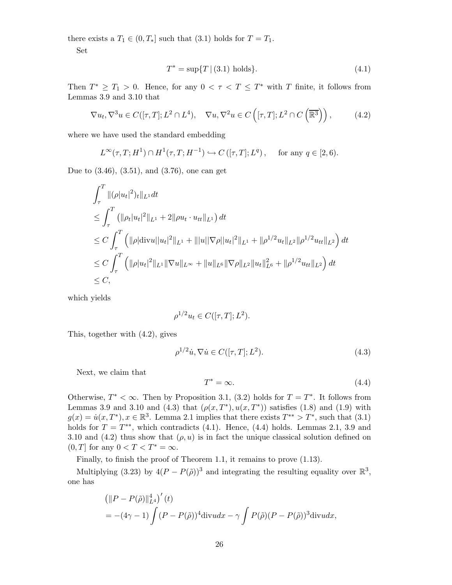there exists a  $T_1 \in (0, T_*]$  such that  $(3.1)$  holds for  $T = T_1$ .

Set

$$
T^* = \sup\{T \mid (3.1) \text{ holds}\}. \tag{4.1}
$$

Then  $T^* \geq T_1 > 0$ . Hence, for any  $0 < \tau < T \leq T^*$  with T finite, it follows from Lemmas 3.9 and 3.10 that

$$
\nabla u_t, \nabla^3 u \in C([\tau, T]; L^2 \cap L^4), \quad \nabla u, \nabla^2 u \in C\left([\tau, T]; L^2 \cap C\left(\overline{\mathbb{R}^3}\right)\right),\tag{4.2}
$$

where we have used the standard embedding

$$
L^{\infty}(\tau, T; H^1) \cap H^1(\tau, T; H^{-1}) \hookrightarrow C([\tau, T]; L^q), \quad \text{for any } q \in [2, 6).
$$

Due to (3.46), (3.51), and (3.76), one can get

$$
\int_{\tau}^{T} ||(\rho |u_{t}|^{2})_{t}||_{L^{1}} dt
$$
\n
$$
\leq \int_{\tau}^{T} (||\rho_{t}|u_{t}|^{2}||_{L^{1}} + 2||\rho u_{t} \cdot u_{tt}||_{L^{1}}) dt
$$
\n
$$
\leq C \int_{\tau}^{T} (||\rho |div u||u_{t}|^{2}||_{L^{1}} + |||u||\nabla \rho ||u_{t}|^{2}||_{L^{1}} + ||\rho^{1/2} u_{t}||_{L^{2}} ||\rho^{1/2} u_{tt}||_{L^{2}}) dt
$$
\n
$$
\leq C \int_{\tau}^{T} (||\rho |u_{t}|^{2}||_{L^{1}} ||\nabla u||_{L^{\infty}} + ||u||_{L^{6}} ||\nabla \rho ||_{L^{2}} ||u_{t}||_{L^{6}}^{2} + ||\rho^{1/2} u_{tt}||_{L^{2}}) dt
$$
\n
$$
\leq C,
$$

which yields

$$
\rho^{1/2} u_t \in C([\tau, T]; L^2).
$$

This, together with (4.2), gives

$$
\rho^{1/2}\dot{u}, \nabla \dot{u} \in C([\tau, T]; L^2). \tag{4.3}
$$

Next, we claim that

$$
T^* = \infty. \tag{4.4}
$$

Otherwise,  $T^* < \infty$ . Then by Proposition 3.1, (3.2) holds for  $T = T^*$ . It follows from Lemmas 3.9 and 3.10 and (4.3) that  $(\rho(x, T^*), u(x, T^*))$  satisfies (1.8) and (1.9) with  $g(x) = \dot{u}(x, T^*), x \in \mathbb{R}^3$ . Lemma 2.1 implies that there exists  $T^{**} > T^*$ , such that (3.1) holds for  $T = T^{**}$ , which contradicts (4.1). Hence, (4.4) holds. Lemmas 2.1, 3.9 and 3.10 and (4.2) thus show that  $(\rho, u)$  is in fact the unique classical solution defined on  $(0, T]$  for any  $0 < T < T^* = \infty$ .

Finally, to finish the proof of Theorem 1.1, it remains to prove (1.13).

Multiplying (3.23) by  $4(P - P(\tilde{\rho}))^3$  and integrating the resulting equality over  $\mathbb{R}^3$ , one has

$$
\begin{aligned} & \left( \| P - P(\tilde{\rho}) \|_{L^4}^4 \right)'(t) \\ &= -(4\gamma - 1) \int (P - P(\tilde{\rho}))^4 \text{div} u \, dx - \gamma \int P(\tilde{\rho}) (P - P(\tilde{\rho}))^3 \text{div} u \, dx, \end{aligned}
$$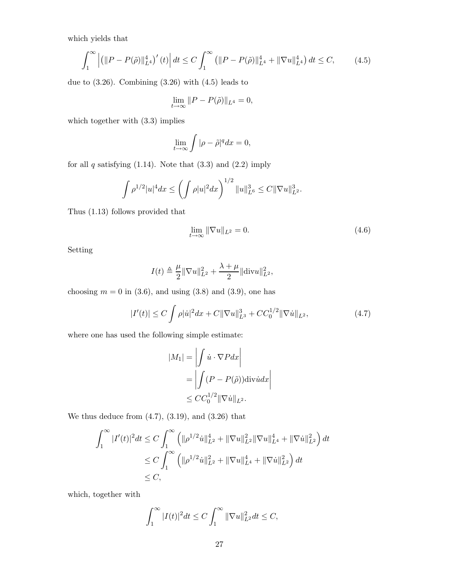which yields that

$$
\int_{1}^{\infty} \left| \left( \|P - P(\tilde{\rho})\|_{L^{4}}^{4} \right)'(t) \right| dt \le C \int_{1}^{\infty} \left( \|P - P(\tilde{\rho})\|_{L^{4}}^{4} + \|\nabla u\|_{L^{4}}^{4} \right) dt \le C, \tag{4.5}
$$

due to  $(3.26)$ . Combining  $(3.26)$  with  $(4.5)$  leads to

$$
\lim_{t \to \infty} ||P - P(\tilde{\rho})||_{L^4} = 0,
$$

which together with (3.3) implies

$$
\lim_{t \to \infty} \int |\rho - \tilde{\rho}|^q dx = 0,
$$

for all  $q$  satisfying  $(1.14)$ . Note that  $(3.3)$  and  $(2.2)$  imply

$$
\int \rho^{1/2} |u|^4 dx \le \left( \int \rho |u|^2 dx \right)^{1/2} \|u\|_{L^6}^3 \le C \|\nabla u\|_{L^2}^3.
$$

Thus (1.13) follows provided that

$$
\lim_{t \to \infty} \|\nabla u\|_{L^2} = 0. \tag{4.6}
$$

Setting

$$
I(t) \triangleq \frac{\mu}{2} ||\nabla u||_{L^{2}}^{2} + \frac{\lambda + \mu}{2} ||\text{div}u||_{L^{2}}^{2},
$$

choosing  $m = 0$  in (3.6), and using (3.8) and (3.9), one has

$$
|I'(t)| \le C \int \rho |\dot{u}|^2 dx + C \|\nabla u\|_{L^3}^3 + C C_0^{1/2} \|\nabla \dot{u}\|_{L^2},
$$
\n(4.7)

where one has used the following simple estimate:

$$
|M_1| = \left| \int \dot{u} \cdot \nabla P dx \right|
$$
  
= 
$$
\left| \int (P - P(\tilde{\rho})) \operatorname{div} \dot{u} dx \right|
$$
  

$$
\leq C C_0^{1/2} ||\nabla \dot{u}||_{L^2}.
$$

We thus deduce from  $(4.7)$ ,  $(3.19)$ , and  $(3.26)$  that

 $\ddot{\phantom{0}}$ 

$$
\int_{1}^{\infty} |I'(t)|^{2} dt \leq C \int_{1}^{\infty} \left( \|\rho^{1/2} \dot{u}\|_{L^{2}}^{4} + \|\nabla u\|_{L^{2}}^{2} \|\nabla u\|_{L^{4}}^{4} + \|\nabla \dot{u}\|_{L^{2}}^{2} \right) dt
$$
  
\n
$$
\leq C \int_{1}^{\infty} \left( \|\rho^{1/2} \dot{u}\|_{L^{2}}^{2} + \|\nabla u\|_{L^{4}}^{4} + \|\nabla \dot{u}\|_{L^{2}}^{2} \right) dt
$$
  
\n
$$
\leq C,
$$

which, together with

$$
\int_1^\infty |I(t)|^2 dt \le C \int_1^\infty \|\nabla u\|_{L^2}^2 dt \le C,
$$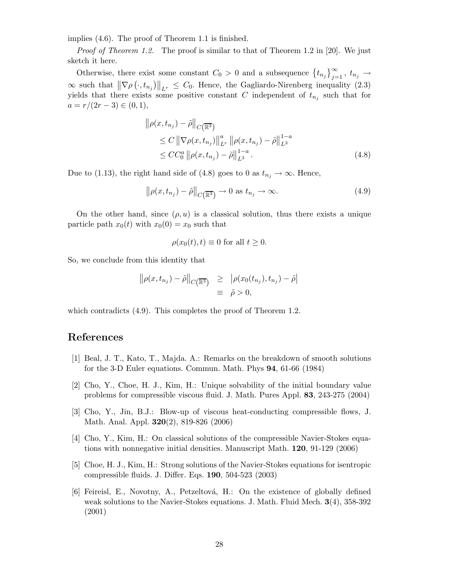implies (4.6). The proof of Theorem 1.1 is finished.

*Proof of Theorem 1.2.* The proof is similar to that of Theorem 1.2 in [20]. We just sketch it here.

Otherwise, there exist some constant  $C_0 > 0$  and a subsequence  $\{t_{n_j}\}_{j=1}^\infty$ ,  $t_{n_j} \to$  $\infty$  such that  $\|\nabla \rho(\cdot, t_{n_j})\|_{L^r} \leq C_0$ . Hence, the Gagliardo-Nirenberg inequality (2.3) yields that there exists some positive constant C independent of  $t_{n_j}$  such that for  $a = r/(2r - 3) \in (0, 1),$ 

$$
\|\rho(x, t_{n_j}) - \tilde{\rho}\|_{C(\overline{\mathbb{R}^3})} \n\leq C \|\nabla \rho(x, t_{n_j})\|_{L^r}^a \|\rho(x, t_{n_j}) - \tilde{\rho}\|_{L^3}^{1-a} \n\leq CC_0^a \|\rho(x, t_{n_j}) - \tilde{\rho}\|_{L^3}^{1-a}.
$$
\n(4.8)

Due to (1.13), the right hand side of (4.8) goes to 0 as  $t_{n_j} \to \infty$ . Hence,

$$
\|\rho(x, t_{n_j}) - \tilde{\rho}\|_{C(\overline{\mathbb{R}^3})} \to 0 \text{ as } t_{n_j} \to \infty.
$$
 (4.9)

On the other hand, since  $(\rho, u)$  is a classical solution, thus there exists a unique particle path  $x_0(t)$  with  $x_0(0) = x_0$  such that

$$
\rho(x_0(t),t) \equiv 0 \text{ for all } t \ge 0.
$$

So, we conclude from this identity that

$$
\|\rho(x, t_{n_j}) - \tilde{\rho}\|_{C(\mathbb{R}^3)} \geq |\rho(x_0(t_{n_j}), t_{n_j}) - \tilde{\rho}|
$$
  

$$
\equiv \tilde{\rho} > 0,
$$

which contradicts  $(4.9)$ . This completes the proof of Theorem 1.2.

### **References**

- [1] Beal, J. T., Kato, T., Majda. A.: Remarks on the breakdown of smooth solutions for the 3-D Euler equations. Commun. Math. Phys **94**, 61-66 (1984)
- [2] Cho, Y., Choe, H. J., Kim, H.: Unique solvability of the initial boundary value problems for compressible viscous fluid. J. Math. Pures Appl. **83**, 243-275 (2004)
- [3] Cho, Y., Jin, B.J.: Blow-up of viscous heat-conducting compressible flows, J. Math. Anal. Appl. **320**(2), 819-826 (2006)
- [4] Cho, Y., Kim, H.: On classical solutions of the compressible Navier-Stokes equations with nonnegative initial densities. Manuscript Math. **120**, 91-129 (2006)
- [5] Choe, H. J., Kim, H.: Strong solutions of the Navier-Stokes equations for isentropic compressible fluids. J. Differ. Eqs. **190**, 504-523 (2003)
- [6] Feireisl, E., Novotny, A., Petzeltov´a, H.: On the existence of globally defined weak solutions to the Navier-Stokes equations. J. Math. Fluid Mech. **3**(4), 358-392 (2001)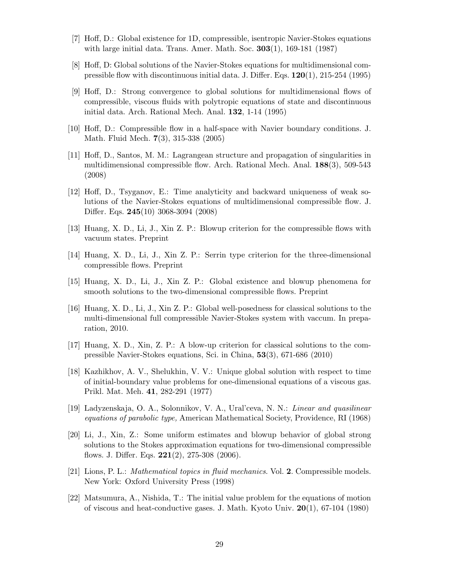- [7] Hoff, D.: Global existence for 1D, compressible, isentropic Navier-Stokes equations with large initial data. Trans. Amer. Math. Soc. **303**(1), 169-181 (1987)
- [8] Hoff, D: Global solutions of the Navier-Stokes equations for multidimensional compressible flow with discontinuous initial data. J. Differ. Eqs. **120**(1), 215-254 (1995)
- [9] Hoff, D.: Strong convergence to global solutions for multidimensional flows of compressible, viscous fluids with polytropic equations of state and discontinuous initial data. Arch. Rational Mech. Anal. **132**, 1-14 (1995)
- [10] Hoff, D.: Compressible flow in a half-space with Navier boundary conditions. J. Math. Fluid Mech. **7**(3), 315-338 (2005)
- [11] Hoff, D., Santos, M. M.: Lagrangean structure and propagation of singularities in multidimensional compressible flow. Arch. Rational Mech. Anal. **188**(3), 509-543 (2008)
- [12] Hoff, D., Tsyganov, E.: Time analyticity and backward uniqueness of weak solutions of the Navier-Stokes equations of multidimensional compressible flow. J. Differ. Eqs. **245**(10) 3068-3094 (2008)
- [13] Huang, X. D., Li, J., Xin Z. P.: Blowup criterion for the compressible flows with vacuum states. Preprint
- [14] Huang, X. D., Li, J., Xin Z. P.: Serrin type criterion for the three-dimensional compressible flows. Preprint
- [15] Huang, X. D., Li, J., Xin Z. P.: Global existence and blowup phenomena for smooth solutions to the two-dimensional compressible flows. Preprint
- [16] Huang, X. D., Li, J., Xin Z. P.: Global well-posedness for classical solutions to the multi-dimensional full compressible Navier-Stokes system with vaccum. In preparation, 2010.
- [17] Huang, X. D., Xin, Z. P.: A blow-up criterion for classical solutions to the compressible Navier-Stokes equations, Sci. in China, **53**(3), 671-686 (2010)
- [18] Kazhikhov, A. V., Shelukhin, V. V.: Unique global solution with respect to time of initial-boundary value problems for one-dimensional equations of a viscous gas. Prikl. Mat. Meh. **41**, 282-291 (1977)
- [19] Ladyzenskaja, O. A., Solonnikov, V. A., Ural'ceva, N. N.: *Linear and quasilinear equations of parabolic type,* American Mathematical Society, Providence, RI (1968)
- [20] Li, J., Xin, Z.: Some uniform estimates and blowup behavior of global strong solutions to the Stokes approximation equations for two-dimensional compressible flows. J. Differ. Eqs. **221**(2), 275-308 (2006).
- [21] Lions, P. L.: *Mathematical topics in fluid mechanics*. Vol. **2**. Compressible models. New York: Oxford University Press (1998)
- [22] Matsumura, A., Nishida, T.: The initial value problem for the equations of motion of viscous and heat-conductive gases. J. Math. Kyoto Univ. **20**(1), 67-104 (1980)